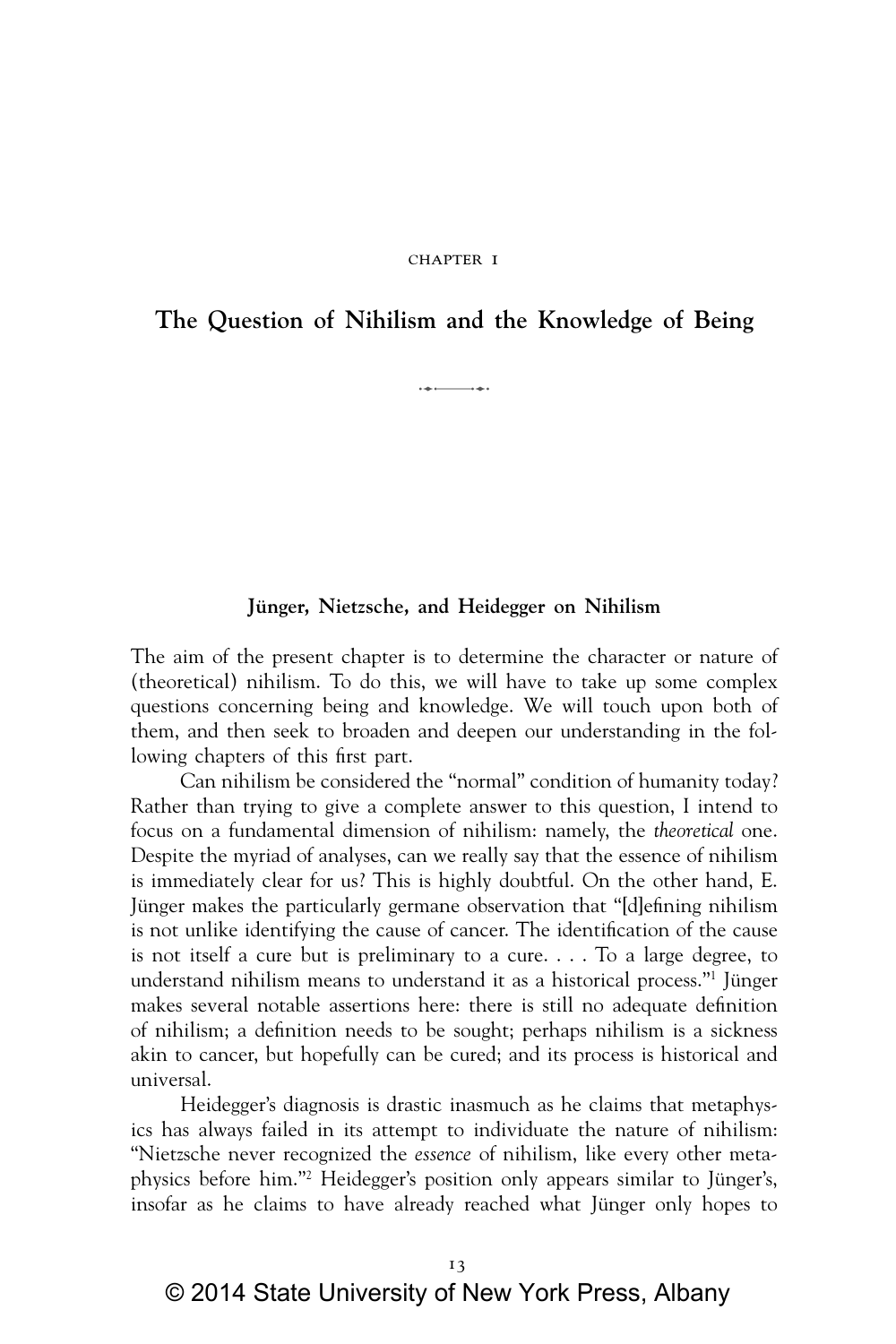#### CHAPTER I

**The Question of Nihilism and the Knowledge of Being**

sts

#### **Jünger, Nietzsche, and Heidegger on Nihilism**

The aim of the present chapter is to determine the character or nature of (theoretical) nihilism. To do this, we will have to take up some complex questions concerning being and knowledge. We will touch upon both of them, and then seek to broaden and deepen our understanding in the fol‑ lowing chapters of this first part.

Can nihilism be considered the "normal" condition of humanity today? Rather than trying to give a complete answer to this question, I intend to focus on a fundamental dimension of nihilism: namely, the *theoretical* one. Despite the myriad of analyses, can we really say that the essence of nihilism is immediately clear for us? This is highly doubtful. On the other hand, E. Jünger makes the particularly germane observation that "[d]efining nihilism is not unlike identifying the cause of cancer. The identification of the cause is not itself a cure but is preliminary to a cure. . . . To a large degree, to understand nihilism means to understand it as a historical process."1 Jünger makes several notable assertions here: there is still no adequate definition of nihilism; a definition needs to be sought; perhaps nihilism is a sickness akin to cancer, but hopefully can be cured; and its process is historical and universal.

Heidegger's diagnosis is drastic inasmuch as he claims that metaphysics has always failed in its attempt to individuate the nature of nihilism: "Nietzsche never recognized the *essence* of nihilism, like every other meta‑ physics before him."2 Heidegger's position only appears similar to Jünger's, insofar as he claims to have already reached what Jünger only hopes to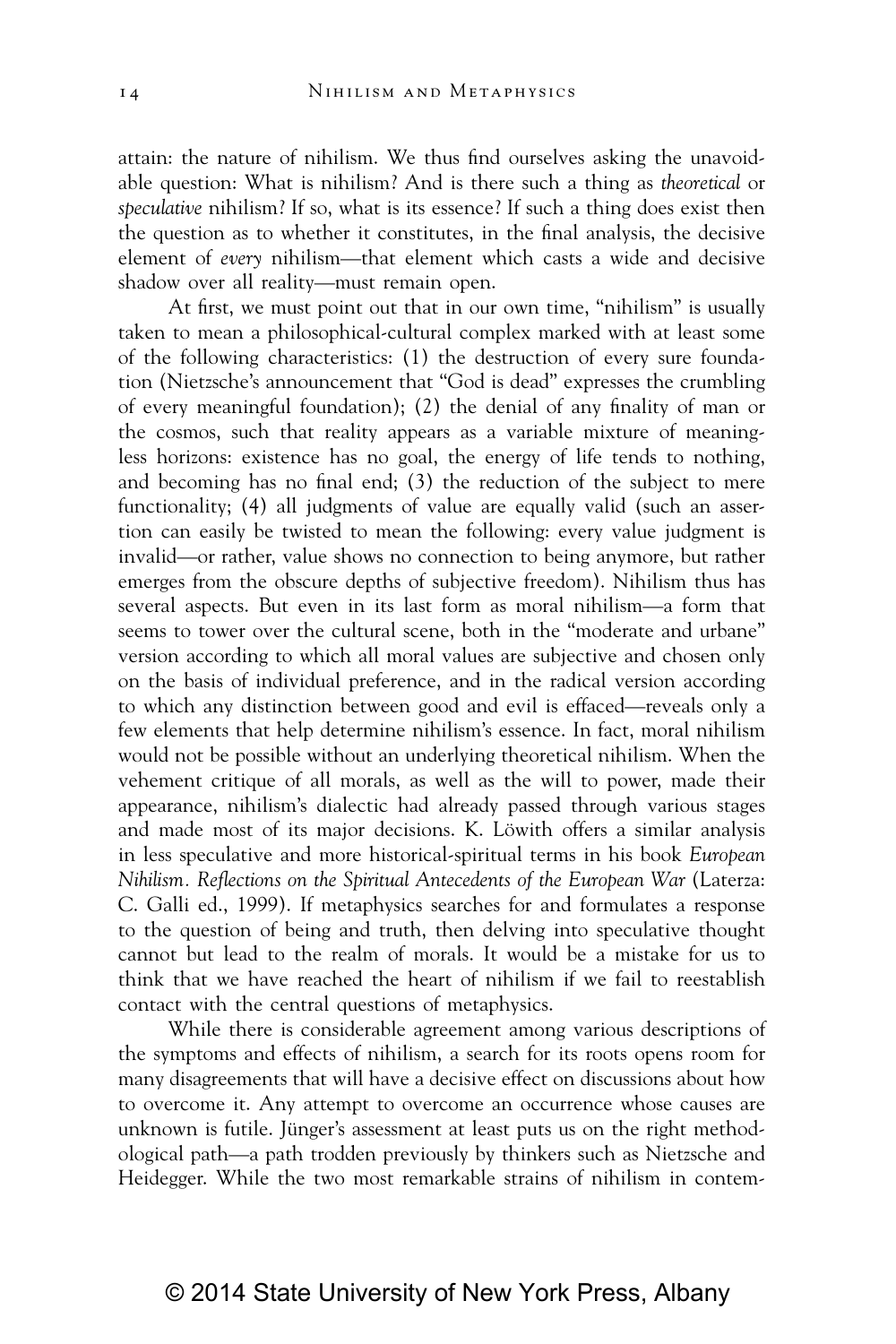attain: the nature of nihilism. We thus find ourselves asking the unavoidable question: What is nihilism? And is there such a thing as *theoretical* or *speculative* nihilism? If so, what is its essence? If such a thing does exist then the question as to whether it constitutes, in the final analysis, the decisive element of *every* nihilism—that element which casts a wide and decisive shadow over all reality—must remain open.

At first, we must point out that in our own time, "nihilism" is usually taken to mean a philosophical‑cultural complex marked with at least some of the following characteristics: (1) the destruction of every sure foundation (Nietzsche's announcement that "God is dead" expresses the crumbling of every meaningful foundation); (2) the denial of any finality of man or the cosmos, such that reality appears as a variable mixture of meaningless horizons: existence has no goal, the energy of life tends to nothing, and becoming has no final end; (3) the reduction of the subject to mere functionality; (4) all judgments of value are equally valid (such an assertion can easily be twisted to mean the following: every value judgment is invalid—or rather, value shows no connection to being anymore, but rather emerges from the obscure depths of subjective freedom). Nihilism thus has several aspects. But even in its last form as moral nihilism—a form that seems to tower over the cultural scene, both in the "moderate and urbane" version according to which all moral values are subjective and chosen only on the basis of individual preference, and in the radical version according to which any distinction between good and evil is effaced—reveals only a few elements that help determine nihilism's essence. In fact, moral nihilism would not be possible without an underlying theoretical nihilism. When the vehement critique of all morals, as well as the will to power, made their appearance, nihilism's dialectic had already passed through various stages and made most of its major decisions. K. Löwith offers a similar analysis in less speculative and more historical‑spiritual terms in his book *European Nihilism. Reflections on the Spiritual Antecedents of the European War* (Laterza: C. Galli ed., 1999). If metaphysics searches for and formulates a response to the question of being and truth, then delving into speculative thought cannot but lead to the realm of morals. It would be a mistake for us to think that we have reached the heart of nihilism if we fail to reestablish contact with the central questions of metaphysics.

While there is considerable agreement among various descriptions of the symptoms and effects of nihilism, a search for its roots opens room for many disagreements that will have a decisive effect on discussions about how to overcome it. Any attempt to overcome an occurrence whose causes are unknown is futile. Jünger's assessment at least puts us on the right methodological path—a path trodden previously by thinkers such as Nietzsche and Heidegger. While the two most remarkable strains of nihilism in contem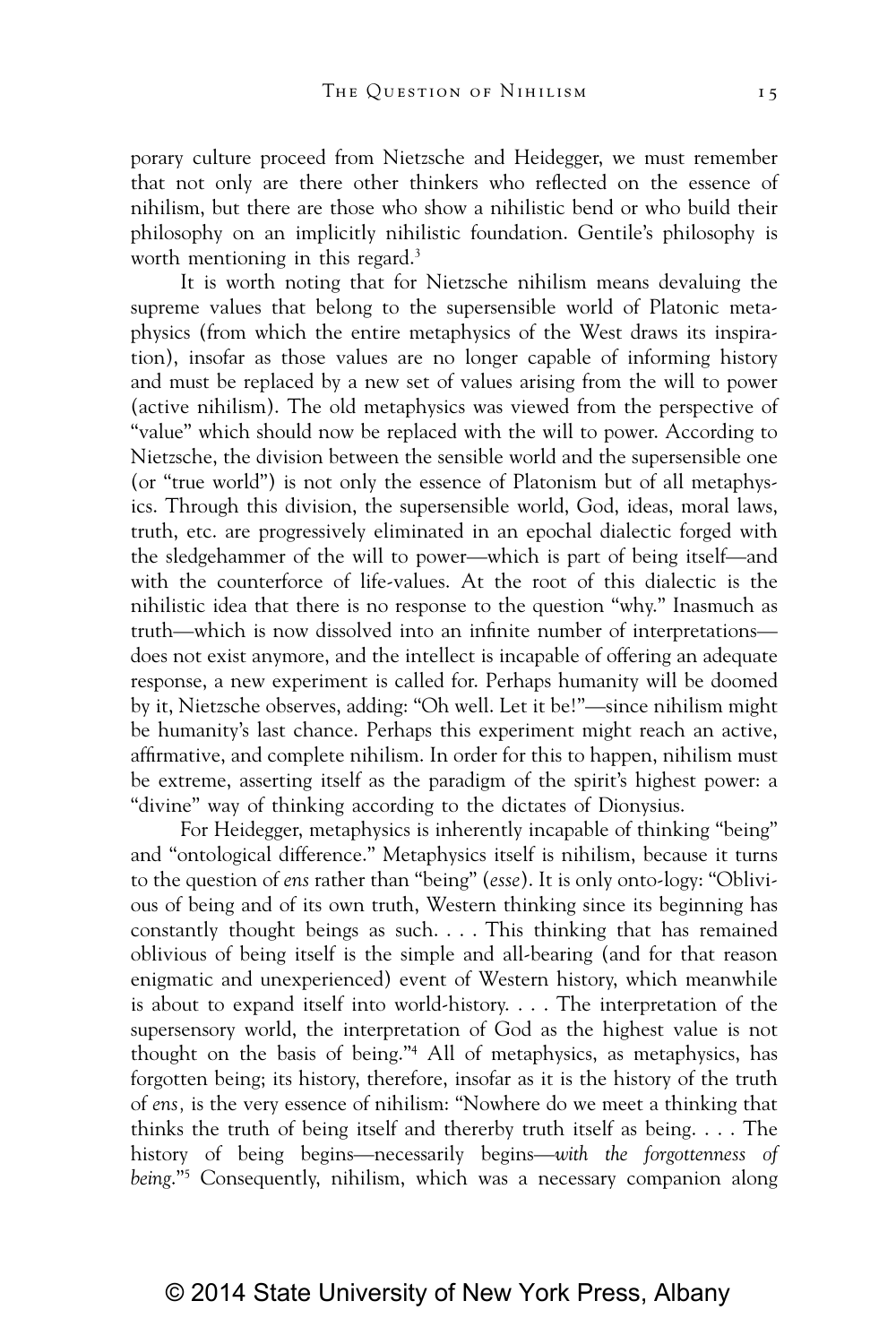porary culture proceed from Nietzsche and Heidegger, we must remember that not only are there other thinkers who reflected on the essence of nihilism, but there are those who show a nihilistic bend or who build their philosophy on an implicitly nihilistic foundation. Gentile's philosophy is worth mentioning in this regard.<sup>3</sup>

It is worth noting that for Nietzsche nihilism means devaluing the supreme values that belong to the supersensible world of Platonic metaphysics (from which the entire metaphysics of the West draws its inspiration), insofar as those values are no longer capable of informing history and must be replaced by a new set of values arising from the will to power (active nihilism). The old metaphysics was viewed from the perspective of "value" which should now be replaced with the will to power. According to Nietzsche, the division between the sensible world and the supersensible one (or "true world") is not only the essence of Platonism but of all metaphysics. Through this division, the supersensible world, God, ideas, moral laws, truth, etc. are progressively eliminated in an epochal dialectic forged with the sledgehammer of the will to power—which is part of being itself—and with the counterforce of life-values. At the root of this dialectic is the nihilistic idea that there is no response to the question "why." Inasmuch as truth—which is now dissolved into an infinite number of interpretations does not exist anymore, and the intellect is incapable of offering an adequate response, a new experiment is called for. Perhaps humanity will be doomed by it, Nietzsche observes, adding: "Oh well. Let it be!"—since nihilism might be humanity's last chance. Perhaps this experiment might reach an active, affirmative, and complete nihilism. In order for this to happen, nihilism must be extreme, asserting itself as the paradigm of the spirit's highest power: a "divine" way of thinking according to the dictates of Dionysius.

For Heidegger, metaphysics is inherently incapable of thinking "being" and "ontological difference." Metaphysics itself is nihilism, because it turns to the question of *ens* rather than "being" (*esse*). It is only onto‑logy: "Oblivi‑ ous of being and of its own truth, Western thinking since its beginning has constantly thought beings as such. . . . This thinking that has remained oblivious of being itself is the simple and all‑bearing (and for that reason enigmatic and unexperienced) event of Western history, which meanwhile is about to expand itself into world-history.  $\ldots$  The interpretation of the supersensory world, the interpretation of God as the highest value is not thought on the basis of being."4 All of metaphysics, as metaphysics, has forgotten being; its history, therefore, insofar as it is the history of the truth of *ens,* is the very essence of nihilism: "Nowhere do we meet a thinking that thinks the truth of being itself and thererby truth itself as being. . . . The history of being begins—necessarily begins—*with the forgottenness of being*."5 Consequently, nihilism, which was a necessary companion along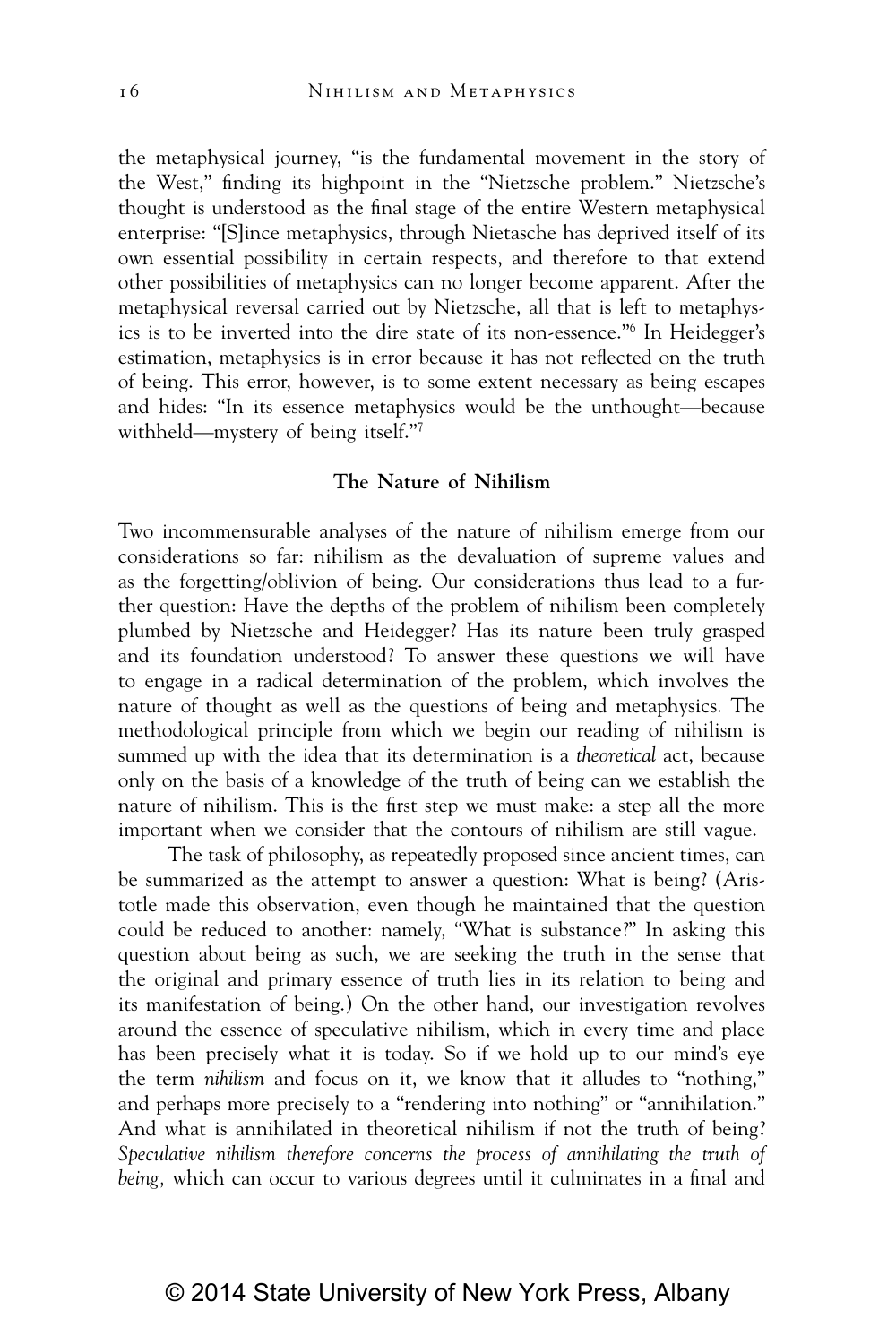the metaphysical journey, "is the fundamental movement in the story of the West," finding its highpoint in the "Nietzsche problem." Nietzsche's thought is understood as the final stage of the entire Western metaphysical enterprise: "[S]ince metaphysics, through Nietasche has deprived itself of its own essential possibility in certain respects, and therefore to that extend other possibilities of metaphysics can no longer become apparent. After the metaphysical reversal carried out by Nietzsche, all that is left to metaphysics is to be inverted into the dire state of its non‑essence."6 In Heidegger's estimation, metaphysics is in error because it has not reflected on the truth of being. This error, however, is to some extent necessary as being escapes and hides: "In its essence metaphysics would be the unthought—because withheld—mystery of being itself."7

#### **The Nature of Nihilism**

Two incommensurable analyses of the nature of nihilism emerge from our considerations so far: nihilism as the devaluation of supreme values and as the forgetting/oblivion of being. Our considerations thus lead to a further question: Have the depths of the problem of nihilism been completely plumbed by Nietzsche and Heidegger? Has its nature been truly grasped and its foundation understood? To answer these questions we will have to engage in a radical determination of the problem, which involves the nature of thought as well as the questions of being and metaphysics. The methodological principle from which we begin our reading of nihilism is summed up with the idea that its determination is a *theoretical* act, because only on the basis of a knowledge of the truth of being can we establish the nature of nihilism. This is the first step we must make: a step all the more important when we consider that the contours of nihilism are still vague.

The task of philosophy, as repeatedly proposed since ancient times, can be summarized as the attempt to answer a question: What is being? (Aristotle made this observation, even though he maintained that the question could be reduced to another: namely, "What is substance?" In asking this question about being as such, we are seeking the truth in the sense that the original and primary essence of truth lies in its relation to being and its manifestation of being.) On the other hand, our investigation revolves around the essence of speculative nihilism, which in every time and place has been precisely what it is today. So if we hold up to our mind's eye the term *nihilism* and focus on it, we know that it alludes to "nothing," and perhaps more precisely to a "rendering into nothing" or "annihilation." And what is annihilated in theoretical nihilism if not the truth of being? *Speculative nihilism therefore concerns the process of annihilating the truth of being,* which can occur to various degrees until it culminates in a final and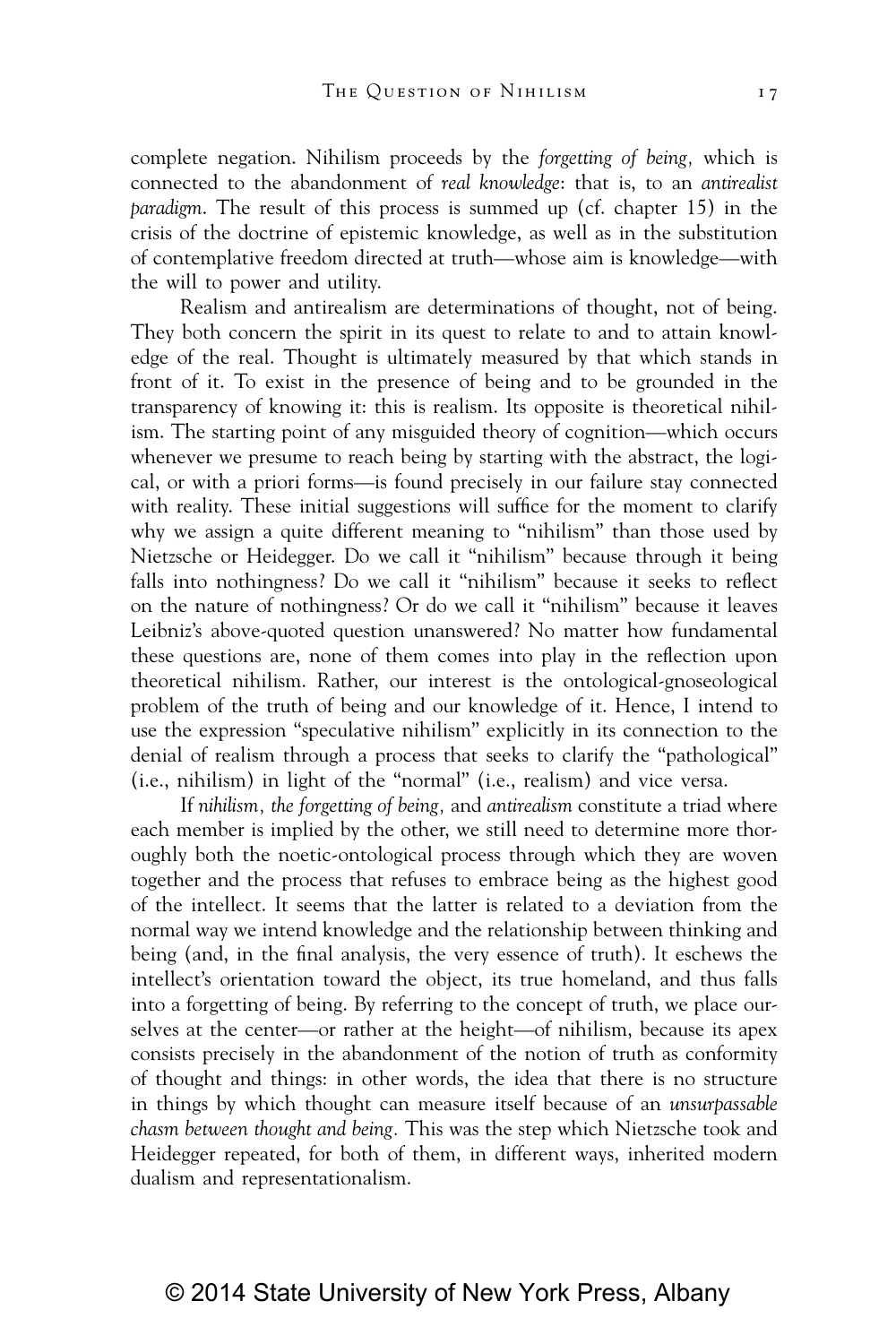complete negation. Nihilism proceeds by the *forgetting of being,* which is connected to the abandonment of *real knowledge*: that is, to an *antirealist paradigm*. The result of this process is summed up (cf. chapter 15) in the crisis of the doctrine of epistemic knowledge, as well as in the substitution of contemplative freedom directed at truth—whose aim is knowledge—with the will to power and utility.

Realism and antirealism are determinations of thought, not of being. They both concern the spirit in its quest to relate to and to attain knowledge of the real. Thought is ultimately measured by that which stands in front of it. To exist in the presence of being and to be grounded in the transparency of knowing it: this is realism. Its opposite is theoretical nihil‑ ism. The starting point of any misguided theory of cognition—which occurs whenever we presume to reach being by starting with the abstract, the logical, or with a priori forms—is found precisely in our failure stay connected with reality. These initial suggestions will suffice for the moment to clarify why we assign a quite different meaning to "nihilism" than those used by Nietzsche or Heidegger. Do we call it "nihilism" because through it being falls into nothingness? Do we call it "nihilism" because it seeks to reflect on the nature of nothingness? Or do we call it "nihilism" because it leaves Leibniz's above-quoted question unanswered? No matter how fundamental these questions are, none of them comes into play in the reflection upon theoretical nihilism. Rather, our interest is the ontological‑gnoseological problem of the truth of being and our knowledge of it. Hence, I intend to use the expression "speculative nihilism" explicitly in its connection to the denial of realism through a process that seeks to clarify the "pathological" (i.e., nihilism) in light of the "normal" (i.e., realism) and vice versa.

If *nihilism, the forgetting of being,* and *antirealism* constitute a triad where each member is implied by the other, we still need to determine more thoroughly both the noetic‑ontological process through which they are woven together and the process that refuses to embrace being as the highest good of the intellect. It seems that the latter is related to a deviation from the normal way we intend knowledge and the relationship between thinking and being (and, in the final analysis, the very essence of truth). It eschews the intellect's orientation toward the object, its true homeland, and thus falls into a forgetting of being. By referring to the concept of truth, we place ourselves at the center—or rather at the height—of nihilism, because its apex consists precisely in the abandonment of the notion of truth as conformity of thought and things: in other words, the idea that there is no structure in things by which thought can measure itself because of an *unsurpassable chasm between thought and being.* This was the step which Nietzsche took and Heidegger repeated, for both of them, in different ways, inherited modern dualism and representationalism.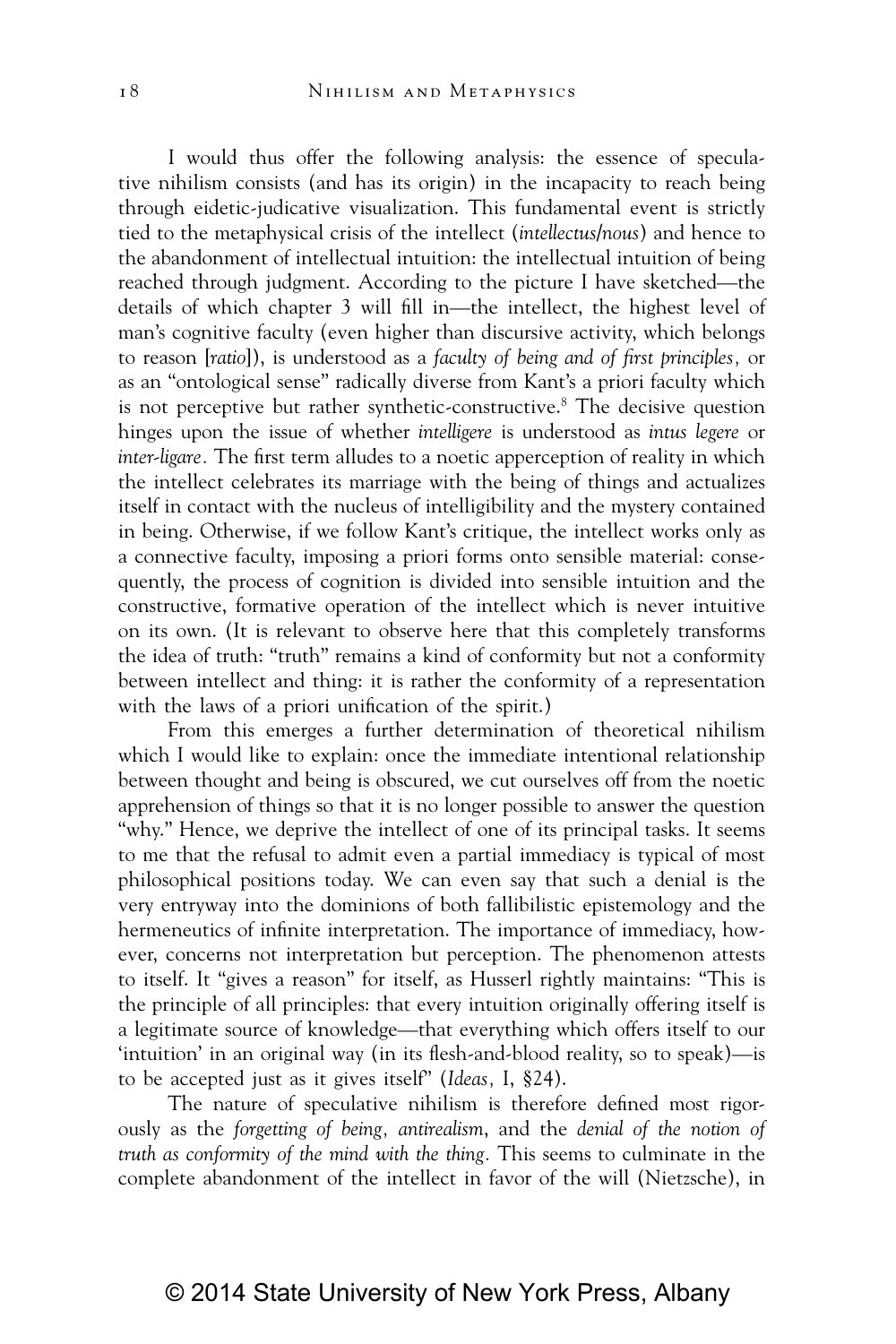I would thus offer the following analysis: the essence of speculative nihilism consists (and has its origin) in the incapacity to reach being through eidetic-judicative visualization. This fundamental event is strictly tied to the metaphysical crisis of the intellect (*intellectus/nous*) and hence to the abandonment of intellectual intuition: the intellectual intuition of being reached through judgment. According to the picture I have sketched—the details of which chapter 3 will fill in—the intellect, the highest level of man's cognitive faculty (even higher than discursive activity, which belongs to reason [*ratio*]), is understood as a *faculty of being and of first principles,* or as an "ontological sense" radically diverse from Kant's a priori faculty which is not perceptive but rather synthetic-constructive.<sup>8</sup> The decisive question hinges upon the issue of whether *intelligere* is understood as *intus legere* or *inter‑ligare.* The first term alludes to a noetic apperception of reality in which the intellect celebrates its marriage with the being of things and actualizes itself in contact with the nucleus of intelligibility and the mystery contained in being. Otherwise, if we follow Kant's critique, the intellect works only as a connective faculty, imposing a priori forms onto sensible material: consequently, the process of cognition is divided into sensible intuition and the constructive, formative operation of the intellect which is never intuitive on its own. (It is relevant to observe here that this completely transforms the idea of truth: "truth" remains a kind of conformity but not a conformity between intellect and thing: it is rather the conformity of a representation with the laws of a priori unification of the spirit.)

From this emerges a further determination of theoretical nihilism which I would like to explain: once the immediate intentional relationship between thought and being is obscured, we cut ourselves off from the noetic apprehension of things so that it is no longer possible to answer the question "why." Hence, we deprive the intellect of one of its principal tasks. It seems to me that the refusal to admit even a partial immediacy is typical of most philosophical positions today. We can even say that such a denial is the very entryway into the dominions of both fallibilistic epistemology and the hermeneutics of infinite interpretation. The importance of immediacy, however, concerns not interpretation but perception. The phenomenon attests to itself. It "gives a reason" for itself, as Husserl rightly maintains: "This is the principle of all principles: that every intuition originally offering itself is a legitimate source of knowledge—that everything which offers itself to our 'intuition' in an original way (in its flesh-and-blood reality, so to speak)—is to be accepted just as it gives itself" (*Ideas,* I, §24).

The nature of speculative nihilism is therefore defined most rigorously as the *forgetting of being, antirealism*, and the *denial of the notion of truth as conformity of the mind with the thing.* This seems to culminate in the complete abandonment of the intellect in favor of the will (Nietzsche), in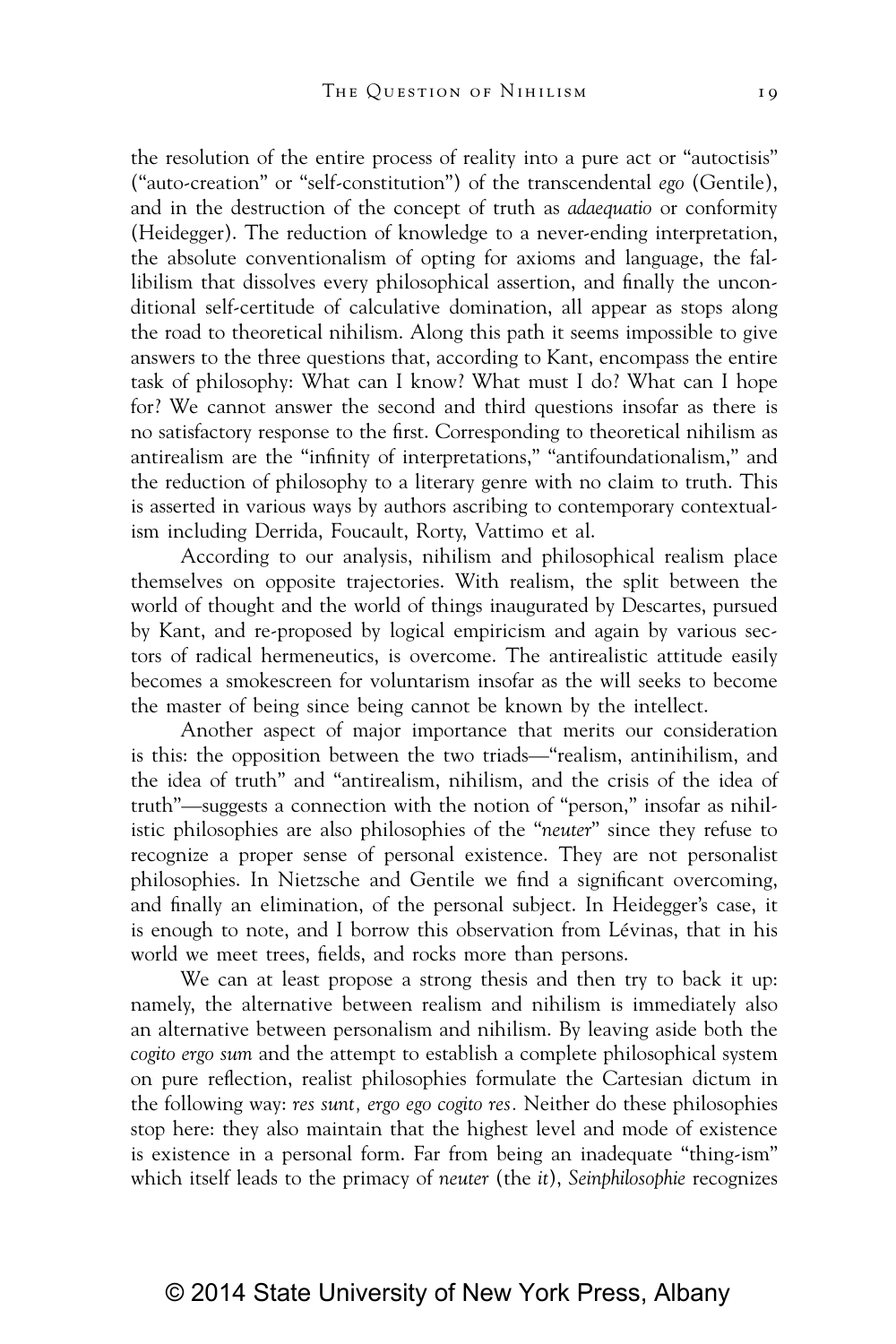the resolution of the entire process of reality into a pure act or "autoctisis" ("auto‑creation" or "self‑constitution") of the transcendental *ego* (Gentile), and in the destruction of the concept of truth as *adaequatio* or conformity (Heidegger). The reduction of knowledge to a never‑ending interpretation, the absolute conventionalism of opting for axioms and language, the fallibilism that dissolves every philosophical assertion, and finally the unconditional self‑certitude of calculative domination, all appear as stops along the road to theoretical nihilism. Along this path it seems impossible to give answers to the three questions that, according to Kant, encompass the entire task of philosophy: What can I know? What must I do? What can I hope for? We cannot answer the second and third questions insofar as there is no satisfactory response to the first. Corresponding to theoretical nihilism as antirealism are the "infinity of interpretations," "antifoundationalism," and the reduction of philosophy to a literary genre with no claim to truth. This is asserted in various ways by authors ascribing to contemporary contextualism including Derrida, Foucault, Rorty, Vattimo et al.

According to our analysis, nihilism and philosophical realism place themselves on opposite trajectories. With realism, the split between the world of thought and the world of things inaugurated by Descartes, pursued by Kant, and re-proposed by logical empiricism and again by various sectors of radical hermeneutics, is overcome. The antirealistic attitude easily becomes a smokescreen for voluntarism insofar as the will seeks to become the master of being since being cannot be known by the intellect.

Another aspect of major importance that merits our consideration is this: the opposition between the two triads—"realism, antinihilism, and the idea of truth" and "antirealism, nihilism, and the crisis of the idea of truth"—suggests a connection with the notion of "person," insofar as nihilistic philosophies are also philosophies of the "*neuter*" since they refuse to recognize a proper sense of personal existence. They are not personalist philosophies. In Nietzsche and Gentile we find a significant overcoming, and finally an elimination, of the personal subject. In Heidegger's case, it is enough to note, and I borrow this observation from Lévinas, that in his world we meet trees, fields, and rocks more than persons.

We can at least propose a strong thesis and then try to back it up: namely, the alternative between realism and nihilism is immediately also an alternative between personalism and nihilism. By leaving aside both the *cogito ergo sum* and the attempt to establish a complete philosophical system on pure reflection, realist philosophies formulate the Cartesian dictum in the following way: *res sunt, ergo ego cogito res.* Neither do these philosophies stop here: they also maintain that the highest level and mode of existence is existence in a personal form. Far from being an inadequate "thing-ism" which itself leads to the primacy of *neuter* (the *it*), *Seinphilosophie* recognizes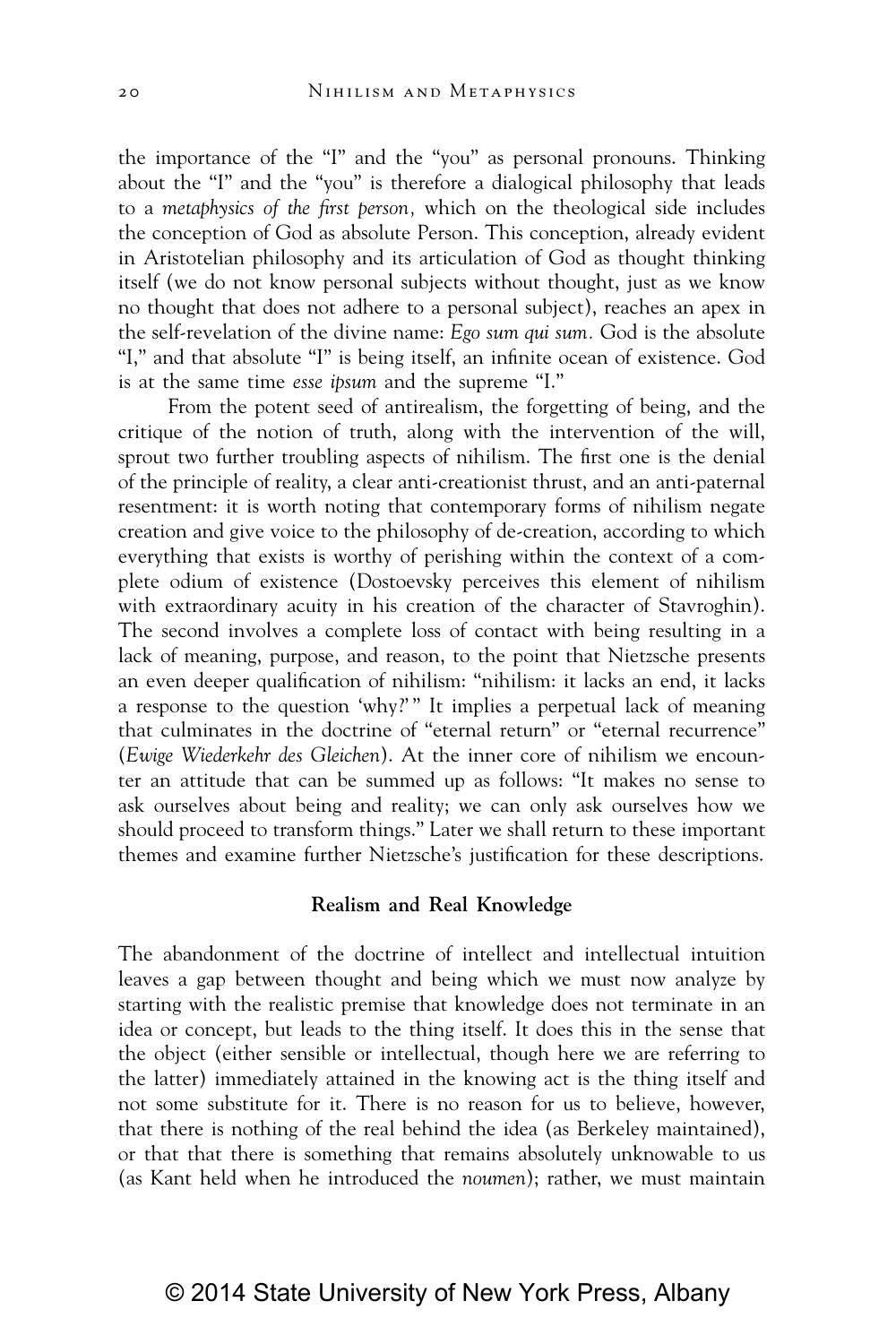the importance of the "I" and the "you" as personal pronouns. Thinking about the "I" and the "you" is therefore a dialogical philosophy that leads to a *metaphysics of the first person,* which on the theological side includes the conception of God as absolute Person. This conception, already evident in Aristotelian philosophy and its articulation of God as thought thinking itself (we do not know personal subjects without thought, just as we know no thought that does not adhere to a personal subject), reaches an apex in the self‑revelation of the divine name: *Ego sum qui sum.* God is the absolute "I," and that absolute "I" is being itself, an infinite ocean of existence. God is at the same time *esse ipsum* and the supreme "I."

From the potent seed of antirealism, the forgetting of being, and the critique of the notion of truth, along with the intervention of the will, sprout two further troubling aspects of nihilism. The first one is the denial of the principle of reality, a clear anti‑creationist thrust, and an anti‑paternal resentment: it is worth noting that contemporary forms of nihilism negate creation and give voice to the philosophy of de‑creation, according to which everything that exists is worthy of perishing within the context of a complete odium of existence (Dostoevsky perceives this element of nihilism with extraordinary acuity in his creation of the character of Stavroghin). The second involves a complete loss of contact with being resulting in a lack of meaning, purpose, and reason, to the point that Nietzsche presents an even deeper qualification of nihilism: "nihilism: it lacks an end, it lacks a response to the question 'why?'" It implies a perpetual lack of meaning that culminates in the doctrine of "eternal return" or "eternal recurrence" (*Ewige Wiederkehr des Gleichen*). At the inner core of nihilism we encoun‑ ter an attitude that can be summed up as follows: "It makes no sense to ask ourselves about being and reality; we can only ask ourselves how we should proceed to transform things." Later we shall return to these important themes and examine further Nietzsche's justification for these descriptions.

#### **Realism and Real Knowledge**

The abandonment of the doctrine of intellect and intellectual intuition leaves a gap between thought and being which we must now analyze by starting with the realistic premise that knowledge does not terminate in an idea or concept, but leads to the thing itself. It does this in the sense that the object (either sensible or intellectual, though here we are referring to the latter) immediately attained in the knowing act is the thing itself and not some substitute for it. There is no reason for us to believe, however, that there is nothing of the real behind the idea (as Berkeley maintained), or that that there is something that remains absolutely unknowable to us (as Kant held when he introduced the *noumen*); rather, we must maintain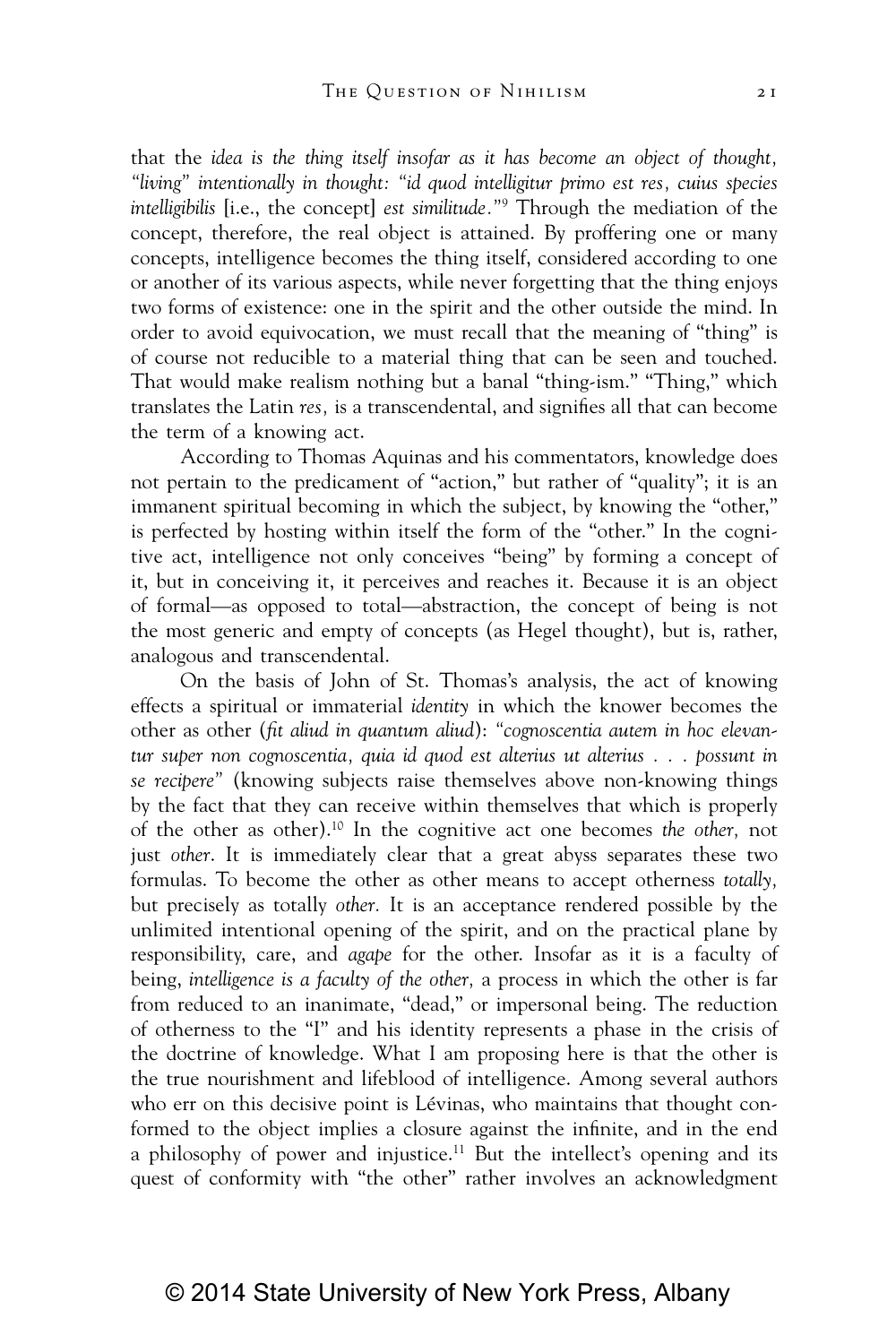that the *idea is the thing itself insofar as it has become an object of thought, "living" intentionally in thought: "id quod intelligitur primo est res, cuius species intelligibilis* [i.e., the concept] *est similitude."*<sup>9</sup> Through the mediation of the concept, therefore, the real object is attained. By proffering one or many concepts, intelligence becomes the thing itself, considered according to one or another of its various aspects, while never forgetting that the thing enjoys two forms of existence: one in the spirit and the other outside the mind. In order to avoid equivocation, we must recall that the meaning of "thing" is of course not reducible to a material thing that can be seen and touched. That would make realism nothing but a banal "thing-ism." "Thing," which translates the Latin *res,* is a transcendental, and signifies all that can become the term of a knowing act.

According to Thomas Aquinas and his commentators, knowledge does not pertain to the predicament of "action," but rather of "quality"; it is an immanent spiritual becoming in which the subject, by knowing the "other," is perfected by hosting within itself the form of the "other." In the cognitive act, intelligence not only conceives "being" by forming a concept of it, but in conceiving it, it perceives and reaches it. Because it is an object of formal—as opposed to total—abstraction, the concept of being is not the most generic and empty of concepts (as Hegel thought), but is, rather, analogous and transcendental.

On the basis of John of St. Thomas's analysis, the act of knowing effects a spiritual or immaterial *identity* in which the knower becomes the other as other (*fit aliud in quantum aliud*): *"cognoscentia autem in hoc elevan‑ tur super non cognoscentia, quia id quod est alterius ut alterius . . . possunt in se recipere*" (knowing subjects raise themselves above non-knowing things by the fact that they can receive within themselves that which is properly of the other as other).10 In the cognitive act one becomes *the other,* not just *other*. It is immediately clear that a great abyss separates these two formulas. To become the other as other means to accept otherness *totally,*  but precisely as totally *other.* It is an acceptance rendered possible by the unlimited intentional opening of the spirit, and on the practical plane by responsibility, care, and *agape* for the other. Insofar as it is a faculty of being, *intelligence is a faculty of the other,* a process in which the other is far from reduced to an inanimate, "dead," or impersonal being. The reduction of otherness to the "I" and his identity represents a phase in the crisis of the doctrine of knowledge. What I am proposing here is that the other is the true nourishment and lifeblood of intelligence. Among several authors who err on this decisive point is Lévinas, who maintains that thought conformed to the object implies a closure against the infinite, and in the end a philosophy of power and injustice.<sup>11</sup> But the intellect's opening and its quest of conformity with "the other" rather involves an acknowledgment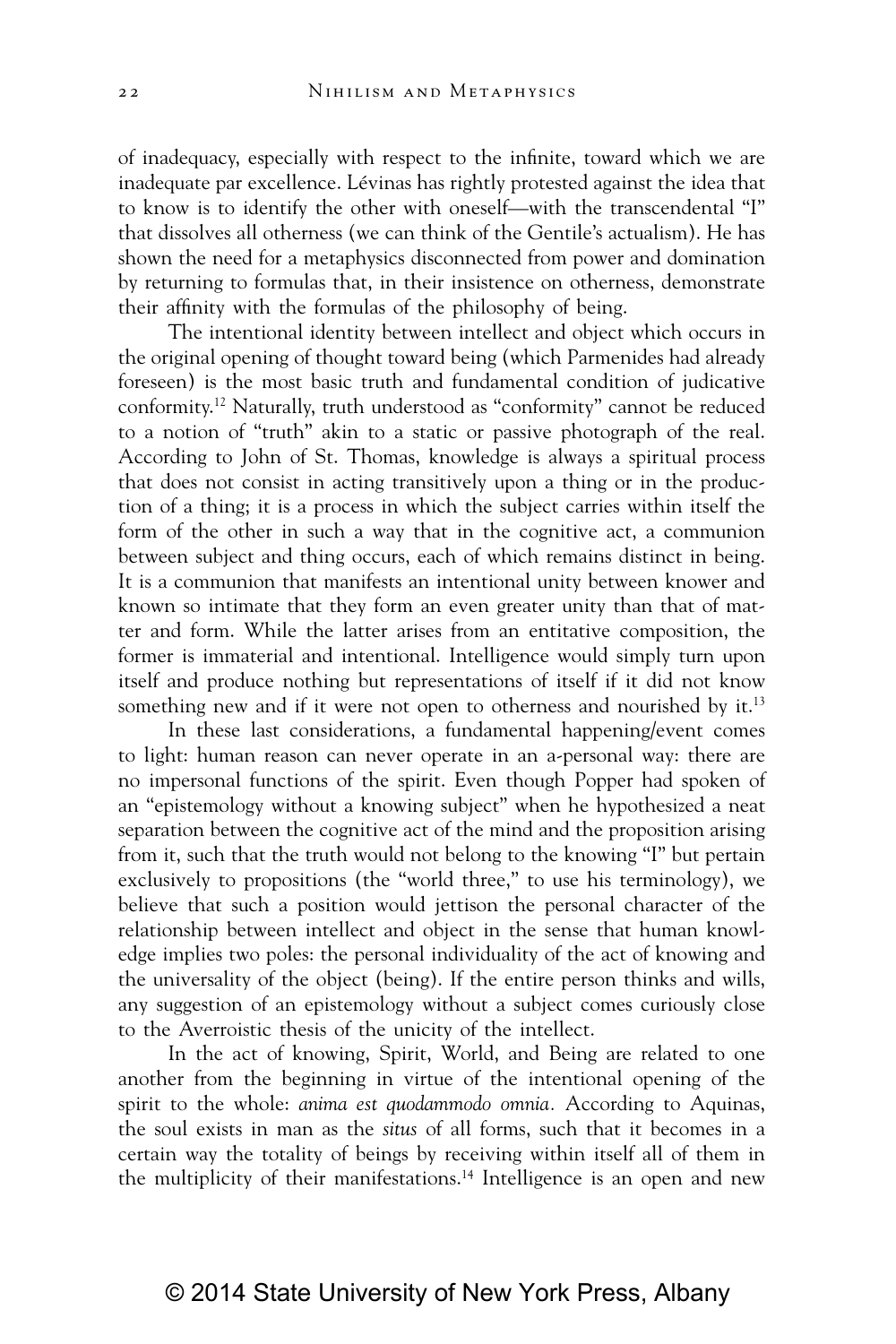of inadequacy, especially with respect to the infinite, toward which we are inadequate par excellence. Lévinas has rightly protested against the idea that to know is to identify the other with oneself—with the transcendental "I" that dissolves all otherness (we can think of the Gentile's actualism). He has shown the need for a metaphysics disconnected from power and domination by returning to formulas that, in their insistence on otherness, demonstrate their affinity with the formulas of the philosophy of being.

The intentional identity between intellect and object which occurs in the original opening of thought toward being (which Parmenides had already foreseen) is the most basic truth and fundamental condition of judicative conformity.12 Naturally, truth understood as "conformity" cannot be reduced to a notion of "truth" akin to a static or passive photograph of the real. According to John of St. Thomas, knowledge is always a spiritual process that does not consist in acting transitively upon a thing or in the production of a thing; it is a process in which the subject carries within itself the form of the other in such a way that in the cognitive act, a communion between subject and thing occurs, each of which remains distinct in being. It is a communion that manifests an intentional unity between knower and known so intimate that they form an even greater unity than that of matter and form. While the latter arises from an entitative composition, the former is immaterial and intentional. Intelligence would simply turn upon itself and produce nothing but representations of itself if it did not know something new and if it were not open to otherness and nourished by it.<sup>13</sup>

In these last considerations, a fundamental happening/event comes to light: human reason can never operate in an a‑personal way: there are no impersonal functions of the spirit. Even though Popper had spoken of an "epistemology without a knowing subject" when he hypothesized a neat separation between the cognitive act of the mind and the proposition arising from it, such that the truth would not belong to the knowing "I" but pertain exclusively to propositions (the "world three," to use his terminology), we believe that such a position would jettison the personal character of the relationship between intellect and object in the sense that human knowledge implies two poles: the personal individuality of the act of knowing and the universality of the object (being). If the entire person thinks and wills, any suggestion of an epistemology without a subject comes curiously close to the Averroistic thesis of the unicity of the intellect.

In the act of knowing, Spirit, World, and Being are related to one another from the beginning in virtue of the intentional opening of the spirit to the whole: *anima est quodammodo omnia.* According to Aquinas, the soul exists in man as the *situs* of all forms, such that it becomes in a certain way the totality of beings by receiving within itself all of them in the multiplicity of their manifestations.<sup>14</sup> Intelligence is an open and new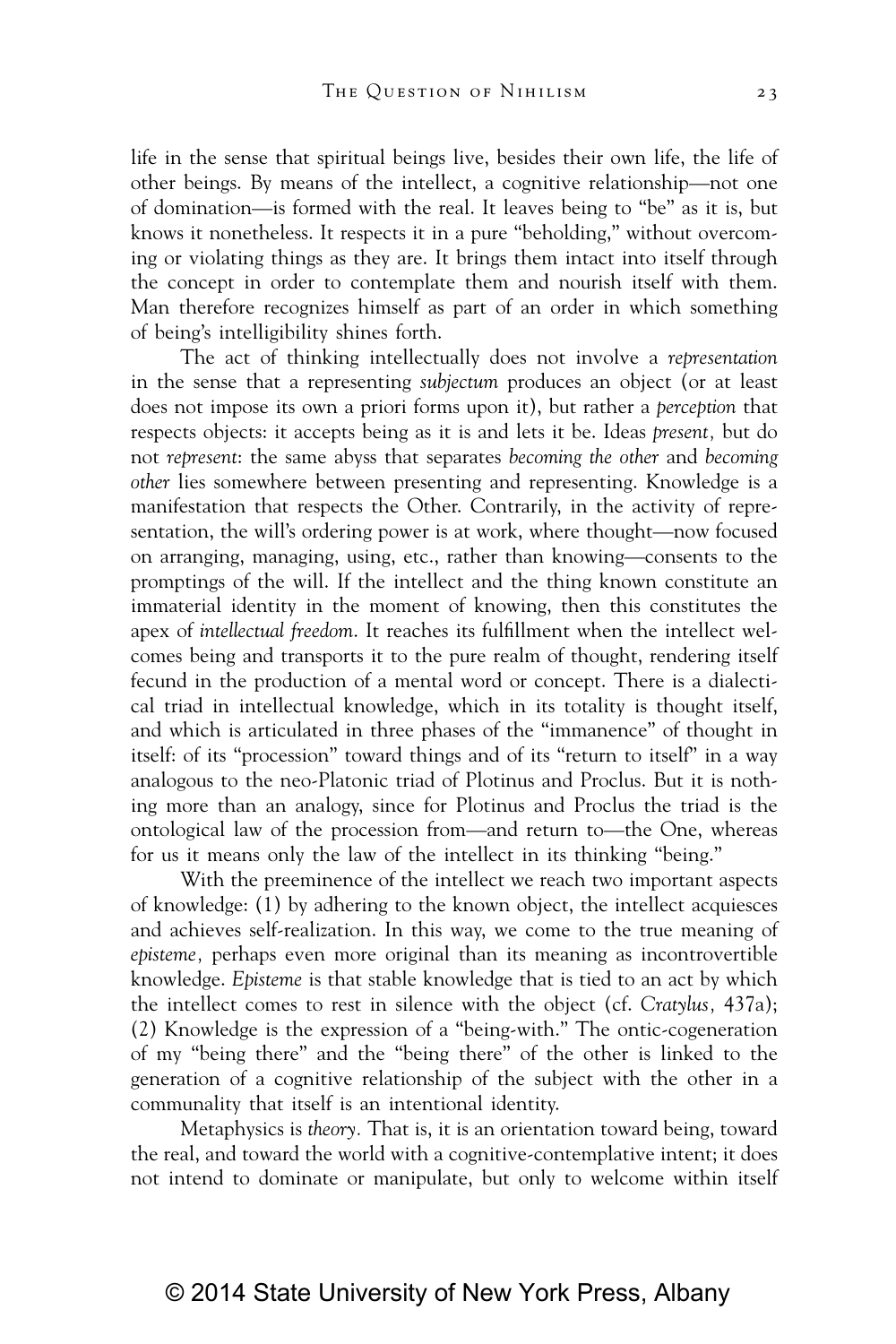life in the sense that spiritual beings live, besides their own life, the life of other beings. By means of the intellect, a cognitive relationship—not one of domination—is formed with the real. It leaves being to "be" as it is, but knows it nonetheless. It respects it in a pure "beholding," without overcoming or violating things as they are. It brings them intact into itself through the concept in order to contemplate them and nourish itself with them. Man therefore recognizes himself as part of an order in which something of being's intelligibility shines forth.

The act of thinking intellectually does not involve a *representation*  in the sense that a representing *subjectum* produces an object (or at least does not impose its own a priori forms upon it), but rather a *perception* that respects objects: it accepts being as it is and lets it be. Ideas *present,* but do not *represent*: the same abyss that separates *becoming the other* and *becoming other* lies somewhere between presenting and representing. Knowledge is a manifestation that respects the Other. Contrarily, in the activity of representation, the will's ordering power is at work, where thought—now focused on arranging, managing, using, etc., rather than knowing—consents to the promptings of the will. If the intellect and the thing known constitute an immaterial identity in the moment of knowing, then this constitutes the apex of *intellectual freedom*. It reaches its fulfillment when the intellect wel‑ comes being and transports it to the pure realm of thought, rendering itself fecund in the production of a mental word or concept. There is a dialectical triad in intellectual knowledge, which in its totality is thought itself, and which is articulated in three phases of the "immanence" of thought in itself: of its "procession" toward things and of its "return to itself" in a way analogous to the neo-Platonic triad of Plotinus and Proclus. But it is nothing more than an analogy, since for Plotinus and Proclus the triad is the ontological law of the procession from—and return to—the One, whereas for us it means only the law of the intellect in its thinking "being."

With the preeminence of the intellect we reach two important aspects of knowledge: (1) by adhering to the known object, the intellect acquiesces and achieves self-realization. In this way, we come to the true meaning of *episteme,* perhaps even more original than its meaning as incontrovertible knowledge. *Episteme* is that stable knowledge that is tied to an act by which the intellect comes to rest in silence with the object (cf. *Cratylus,* 437a); (2) Knowledge is the expression of a "being‑with." The ontic‑cogeneration of my "being there" and the "being there" of the other is linked to the generation of a cognitive relationship of the subject with the other in a communality that itself is an intentional identity.

Metaphysics is *theory.* That is, it is an orientation toward being, toward the real, and toward the world with a cognitive‑contemplative intent; it does not intend to dominate or manipulate, but only to welcome within itself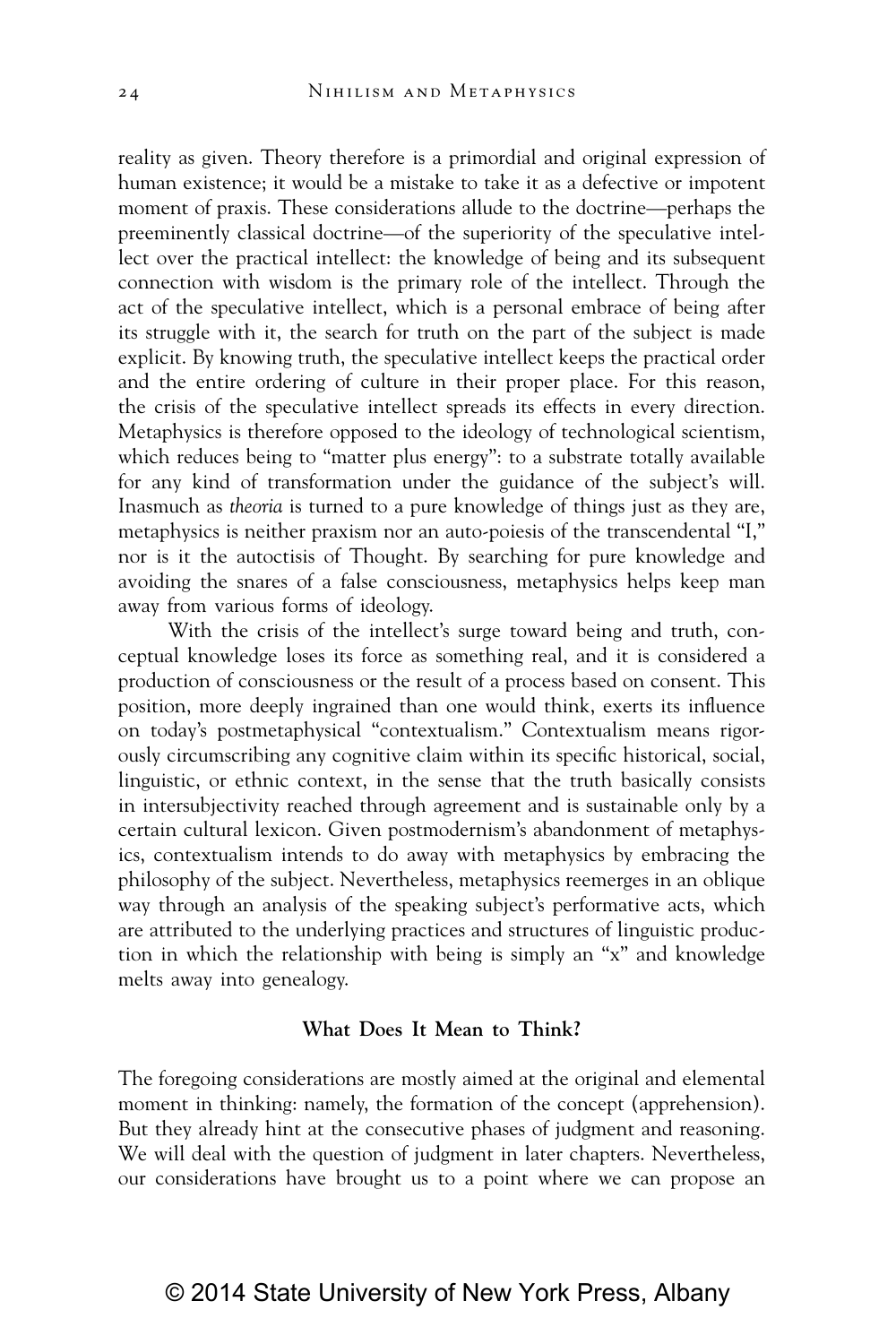reality as given. Theory therefore is a primordial and original expression of human existence; it would be a mistake to take it as a defective or impotent moment of praxis. These considerations allude to the doctrine—perhaps the preeminently classical doctrine—of the superiority of the speculative intellect over the practical intellect: the knowledge of being and its subsequent connection with wisdom is the primary role of the intellect. Through the act of the speculative intellect, which is a personal embrace of being after its struggle with it, the search for truth on the part of the subject is made explicit. By knowing truth, the speculative intellect keeps the practical order and the entire ordering of culture in their proper place. For this reason, the crisis of the speculative intellect spreads its effects in every direction. Metaphysics is therefore opposed to the ideology of technological scientism, which reduces being to "matter plus energy": to a substrate totally available for any kind of transformation under the guidance of the subject's will. Inasmuch as *theoria* is turned to a pure knowledge of things just as they are, metaphysics is neither praxism nor an auto-poiesis of the transcendental "I," nor is it the autoctisis of Thought. By searching for pure knowledge and avoiding the snares of a false consciousness, metaphysics helps keep man away from various forms of ideology.

With the crisis of the intellect's surge toward being and truth, conceptual knowledge loses its force as something real, and it is considered a production of consciousness or the result of a process based on consent. This position, more deeply ingrained than one would think, exerts its influence on today's postmetaphysical "contextualism." Contextualism means rigorously circumscribing any cognitive claim within its specific historical, social, linguistic, or ethnic context, in the sense that the truth basically consists in intersubjectivity reached through agreement and is sustainable only by a certain cultural lexicon. Given postmodernism's abandonment of metaphysics, contextualism intends to do away with metaphysics by embracing the philosophy of the subject. Nevertheless, metaphysics reemerges in an oblique way through an analysis of the speaking subject's performative acts, which are attributed to the underlying practices and structures of linguistic production in which the relationship with being is simply an "x" and knowledge melts away into genealogy.

### **What Does It Mean to Think?**

The foregoing considerations are mostly aimed at the original and elemental moment in thinking: namely, the formation of the concept (apprehension). But they already hint at the consecutive phases of judgment and reasoning. We will deal with the question of judgment in later chapters. Nevertheless, our considerations have brought us to a point where we can propose an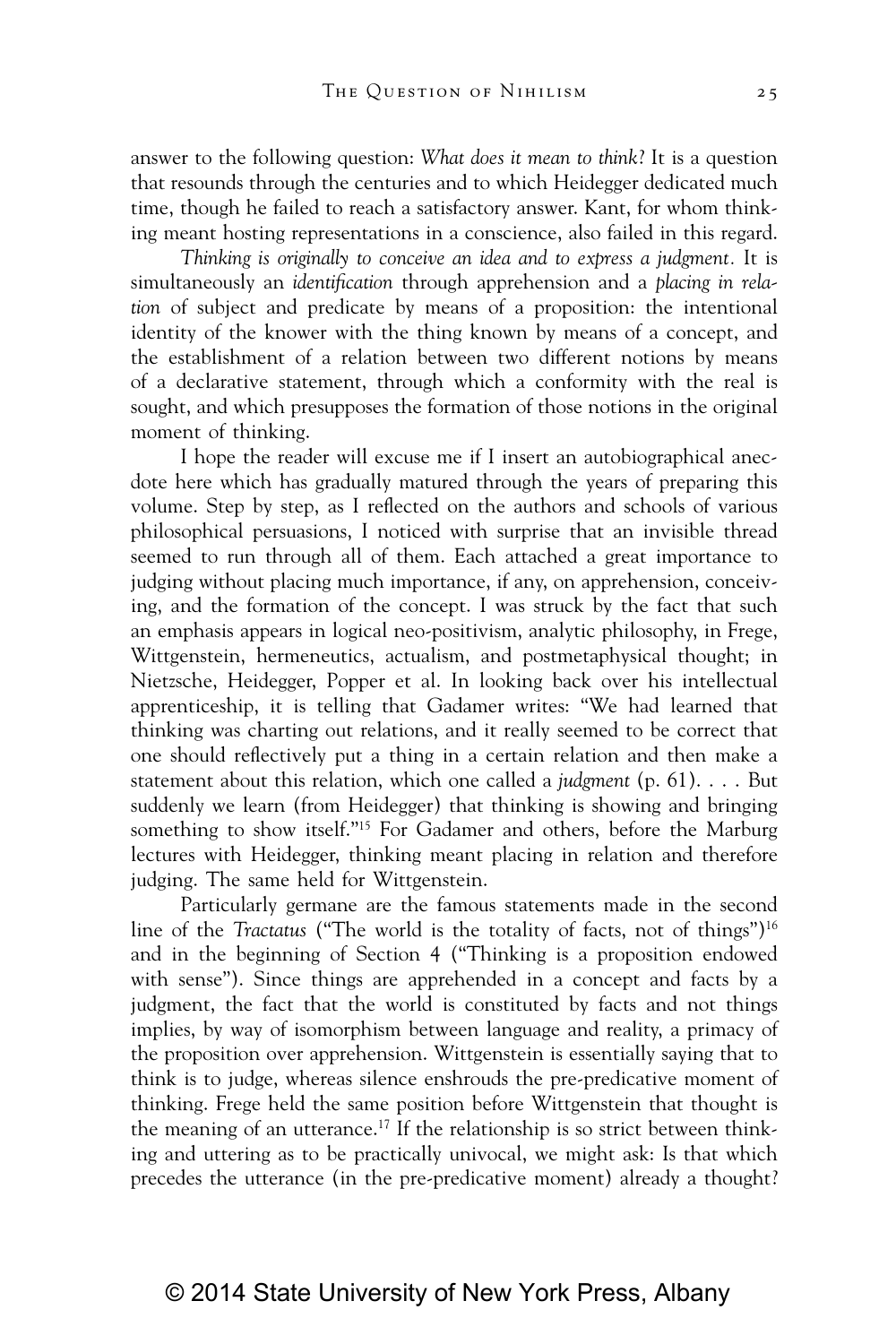answer to the following question: *What does it mean to think*? It is a question that resounds through the centuries and to which Heidegger dedicated much time, though he failed to reach a satisfactory answer. Kant, for whom thinking meant hosting representations in a conscience, also failed in this regard.

*Thinking is originally to conceive an idea and to express a judgment.* It is simultaneously an *identification* through apprehension and a *placing in rela‑ tion* of subject and predicate by means of a proposition: the intentional identity of the knower with the thing known by means of a concept, and the establishment of a relation between two different notions by means of a declarative statement, through which a conformity with the real is sought, and which presupposes the formation of those notions in the original moment of thinking.

I hope the reader will excuse me if I insert an autobiographical anecdote here which has gradually matured through the years of preparing this volume. Step by step, as I reflected on the authors and schools of various philosophical persuasions, I noticed with surprise that an invisible thread seemed to run through all of them. Each attached a great importance to judging without placing much importance, if any, on apprehension, conceiving, and the formation of the concept. I was struck by the fact that such an emphasis appears in logical neo‑positivism, analytic philosophy, in Frege, Wittgenstein, hermeneutics, actualism, and postmetaphysical thought; in Nietzsche, Heidegger, Popper et al. In looking back over his intellectual apprenticeship, it is telling that Gadamer writes: "We had learned that thinking was charting out relations, and it really seemed to be correct that one should reflectively put a thing in a certain relation and then make a statement about this relation, which one called a *judgment* (p. 61). . . . But suddenly we learn (from Heidegger) that thinking is showing and bringing something to show itself."15 For Gadamer and others, before the Marburg lectures with Heidegger, thinking meant placing in relation and therefore judging. The same held for Wittgenstein.

Particularly germane are the famous statements made in the second line of the *Tractatus* ("The world is the totality of facts, not of things")16 and in the beginning of Section 4 ("Thinking is a proposition endowed with sense"). Since things are apprehended in a concept and facts by a judgment, the fact that the world is constituted by facts and not things implies, by way of isomorphism between language and reality, a primacy of the proposition over apprehension. Wittgenstein is essentially saying that to think is to judge, whereas silence enshrouds the pre‑predicative moment of thinking. Frege held the same position before Wittgenstein that thought is the meaning of an utterance.<sup>17</sup> If the relationship is so strict between thinking and uttering as to be practically univocal, we might ask: Is that which precedes the utterance (in the pre‑predicative moment) already a thought?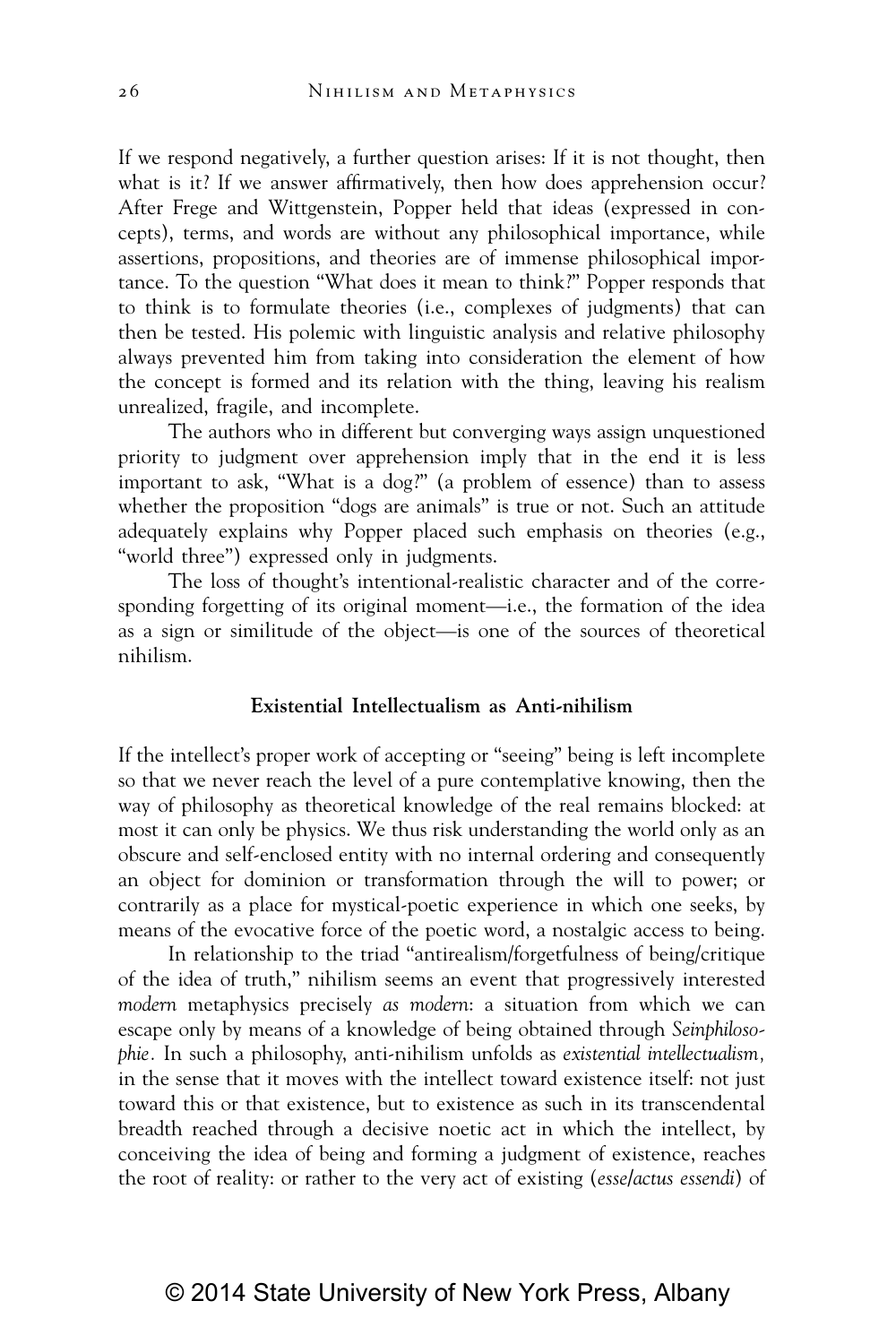If we respond negatively, a further question arises: If it is not thought, then what is it? If we answer affirmatively, then how does apprehension occur? After Frege and Wittgenstein, Popper held that ideas (expressed in concepts), terms, and words are without any philosophical importance, while assertions, propositions, and theories are of immense philosophical importance. To the question "What does it mean to think?" Popper responds that to think is to formulate theories (i.e., complexes of judgments) that can then be tested. His polemic with linguistic analysis and relative philosophy always prevented him from taking into consideration the element of how the concept is formed and its relation with the thing, leaving his realism unrealized, fragile, and incomplete.

The authors who in different but converging ways assign unquestioned priority to judgment over apprehension imply that in the end it is less important to ask, "What is a dog?" (a problem of essence) than to assess whether the proposition "dogs are animals" is true or not. Such an attitude adequately explains why Popper placed such emphasis on theories (e.g., "world three") expressed only in judgments.

The loss of thought's intentional-realistic character and of the corresponding forgetting of its original moment—i.e., the formation of the idea as a sign or similitude of the object—is one of the sources of theoretical nihilism.

#### **Existential Intellectualism as Anti‑nihilism**

If the intellect's proper work of accepting or "seeing" being is left incomplete so that we never reach the level of a pure contemplative knowing, then the way of philosophy as theoretical knowledge of the real remains blocked: at most it can only be physics. We thus risk understanding the world only as an obscure and self‑enclosed entity with no internal ordering and consequently an object for dominion or transformation through the will to power; or contrarily as a place for mystical‑poetic experience in which one seeks, by means of the evocative force of the poetic word, a nostalgic access to being.

In relationship to the triad "antirealism/forgetfulness of being/critique of the idea of truth," nihilism seems an event that progressively interested *modern* metaphysics precisely *as modern*: a situation from which we can escape only by means of a knowledge of being obtained through *Seinphiloso‑ phie.* In such a philosophy, anti‑nihilism unfolds as *existential intellectualism,* in the sense that it moves with the intellect toward existence itself: not just toward this or that existence, but to existence as such in its transcendental breadth reached through a decisive noetic act in which the intellect, by conceiving the idea of being and forming a judgment of existence, reaches the root of reality: or rather to the very act of existing (*esse/actus essendi*) of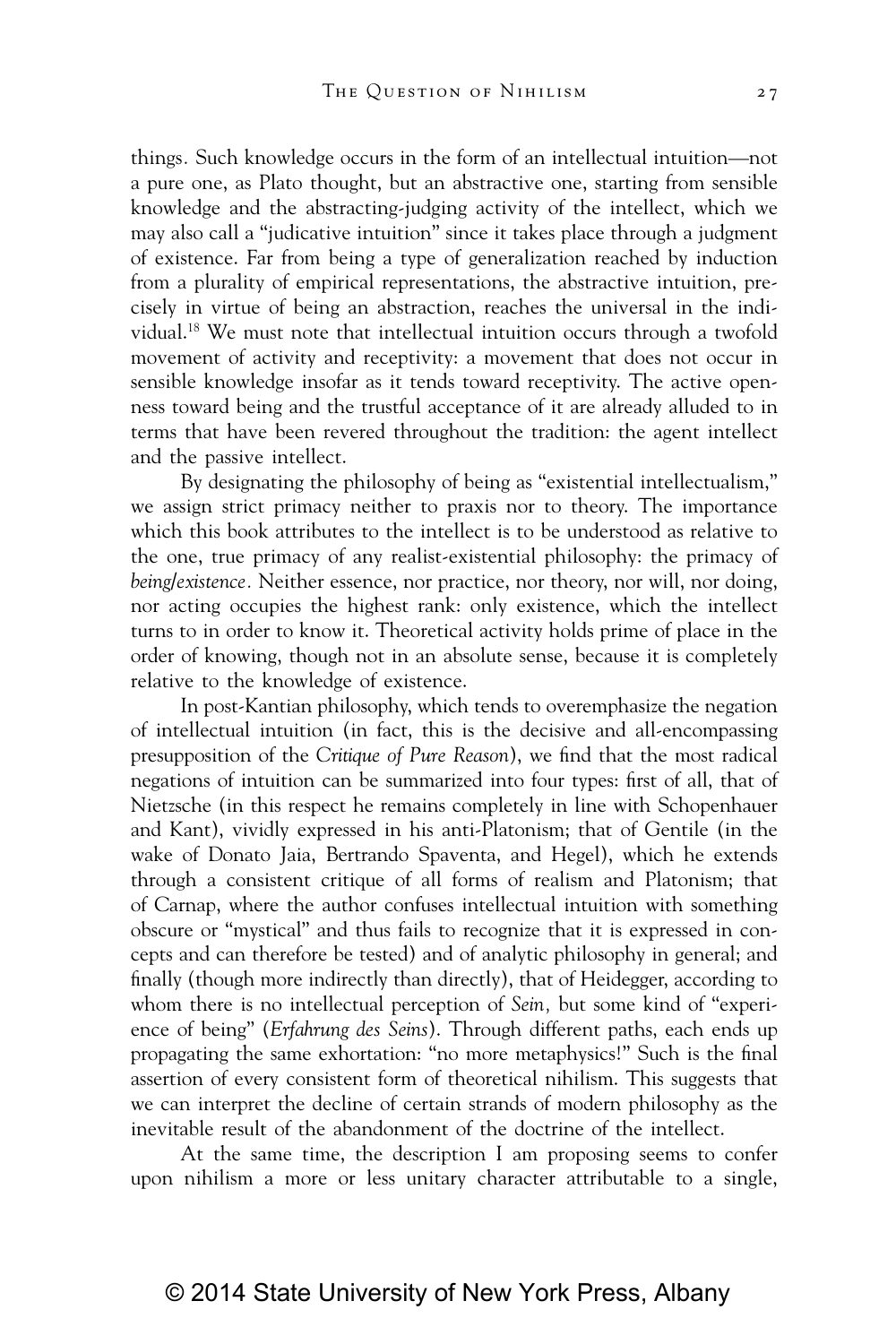things*.* Such knowledge occurs in the form of an intellectual intuition—not a pure one, as Plato thought, but an abstractive one, starting from sensible knowledge and the abstracting‑judging activity of the intellect, which we may also call a "judicative intuition" since it takes place through a judgment of existence. Far from being a type of generalization reached by induction from a plurality of empirical representations, the abstractive intuition, precisely in virtue of being an abstraction, reaches the universal in the individual.18 We must note that intellectual intuition occurs through a twofold movement of activity and receptivity: a movement that does not occur in sensible knowledge insofar as it tends toward receptivity. The active openness toward being and the trustful acceptance of it are already alluded to in terms that have been revered throughout the tradition: the agent intellect and the passive intellect.

By designating the philosophy of being as "existential intellectualism," we assign strict primacy neither to praxis nor to theory. The importance which this book attributes to the intellect is to be understood as relative to the one, true primacy of any realist-existential philosophy: the primacy of *being/existence.* Neither essence, nor practice, nor theory, nor will, nor doing, nor acting occupies the highest rank: only existence, which the intellect turns to in order to know it. Theoretical activity holds prime of place in the order of knowing, though not in an absolute sense, because it is completely relative to the knowledge of existence.

In post-Kantian philosophy, which tends to overemphasize the negation of intellectual intuition (in fact, this is the decisive and all‑encompassing presupposition of the *Critique of Pure Reason*), we find that the most radical negations of intuition can be summarized into four types: first of all, that of Nietzsche (in this respect he remains completely in line with Schopenhauer and Kant), vividly expressed in his anti‑Platonism; that of Gentile (in the wake of Donato Jaia, Bertrando Spaventa, and Hegel), which he extends through a consistent critique of all forms of realism and Platonism; that of Carnap, where the author confuses intellectual intuition with something obscure or "mystical" and thus fails to recognize that it is expressed in concepts and can therefore be tested) and of analytic philosophy in general; and finally (though more indirectly than directly), that of Heidegger, according to whom there is no intellectual perception of *Sein*, but some kind of "experience of being" (*Erfahrung des Seins*). Through different paths, each ends up propagating the same exhortation: "no more metaphysics!" Such is the final assertion of every consistent form of theoretical nihilism. This suggests that we can interpret the decline of certain strands of modern philosophy as the inevitable result of the abandonment of the doctrine of the intellect.

At the same time, the description I am proposing seems to confer upon nihilism a more or less unitary character attributable to a single,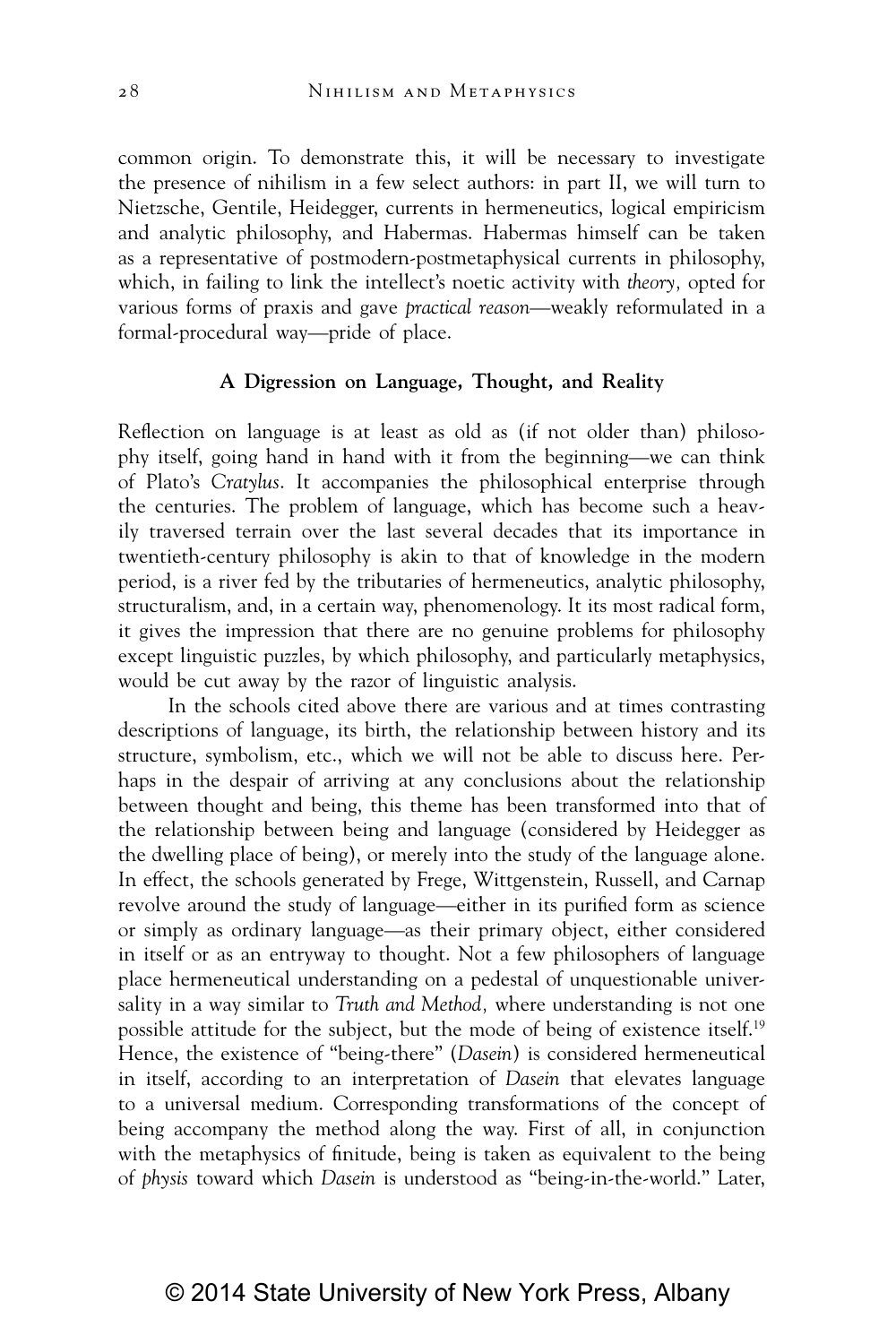common origin. To demonstrate this, it will be necessary to investigate the presence of nihilism in a few select authors: in part II, we will turn to Nietzsche, Gentile, Heidegger, currents in hermeneutics, logical empiricism and analytic philosophy, and Habermas. Habermas himself can be taken as a representative of postmodern‑postmetaphysical currents in philosophy, which, in failing to link the intellect's noetic activity with *theory,* opted for various forms of praxis and gave *practical reason—*weakly reformulated in a formal‑procedural way—pride of place.

#### **A Digression on Language, Thought, and Reality**

Reflection on language is at least as old as (if not older than) philosophy itself, going hand in hand with it from the beginning—we can think of Plato's *Cratylus*. It accompanies the philosophical enterprise through the centuries. The problem of language, which has become such a heavily traversed terrain over the last several decades that its importance in twentieth‑century philosophy is akin to that of knowledge in the modern period, is a river fed by the tributaries of hermeneutics, analytic philosophy, structuralism, and, in a certain way, phenomenology. It its most radical form, it gives the impression that there are no genuine problems for philosophy except linguistic puzzles, by which philosophy, and particularly metaphysics, would be cut away by the razor of linguistic analysis.

In the schools cited above there are various and at times contrasting descriptions of language, its birth, the relationship between history and its structure, symbolism, etc., which we will not be able to discuss here. Per‑ haps in the despair of arriving at any conclusions about the relationship between thought and being, this theme has been transformed into that of the relationship between being and language (considered by Heidegger as the dwelling place of being), or merely into the study of the language alone. In effect, the schools generated by Frege, Wittgenstein, Russell, and Carnap revolve around the study of language—either in its purified form as science or simply as ordinary language—as their primary object, either considered in itself or as an entryway to thought. Not a few philosophers of language place hermeneutical understanding on a pedestal of unquestionable universality in a way similar to *Truth and Method,* where understanding is not one possible attitude for the subject, but the mode of being of existence itself.19 Hence, the existence of "being-there" (*Dasein*) is considered hermeneutical in itself, according to an interpretation of *Dasein* that elevates language to a universal medium. Corresponding transformations of the concept of being accompany the method along the way. First of all, in conjunction with the metaphysics of finitude, being is taken as equivalent to the being of *physis* toward which *Dasein* is understood as "being‑in‑the‑world." Later,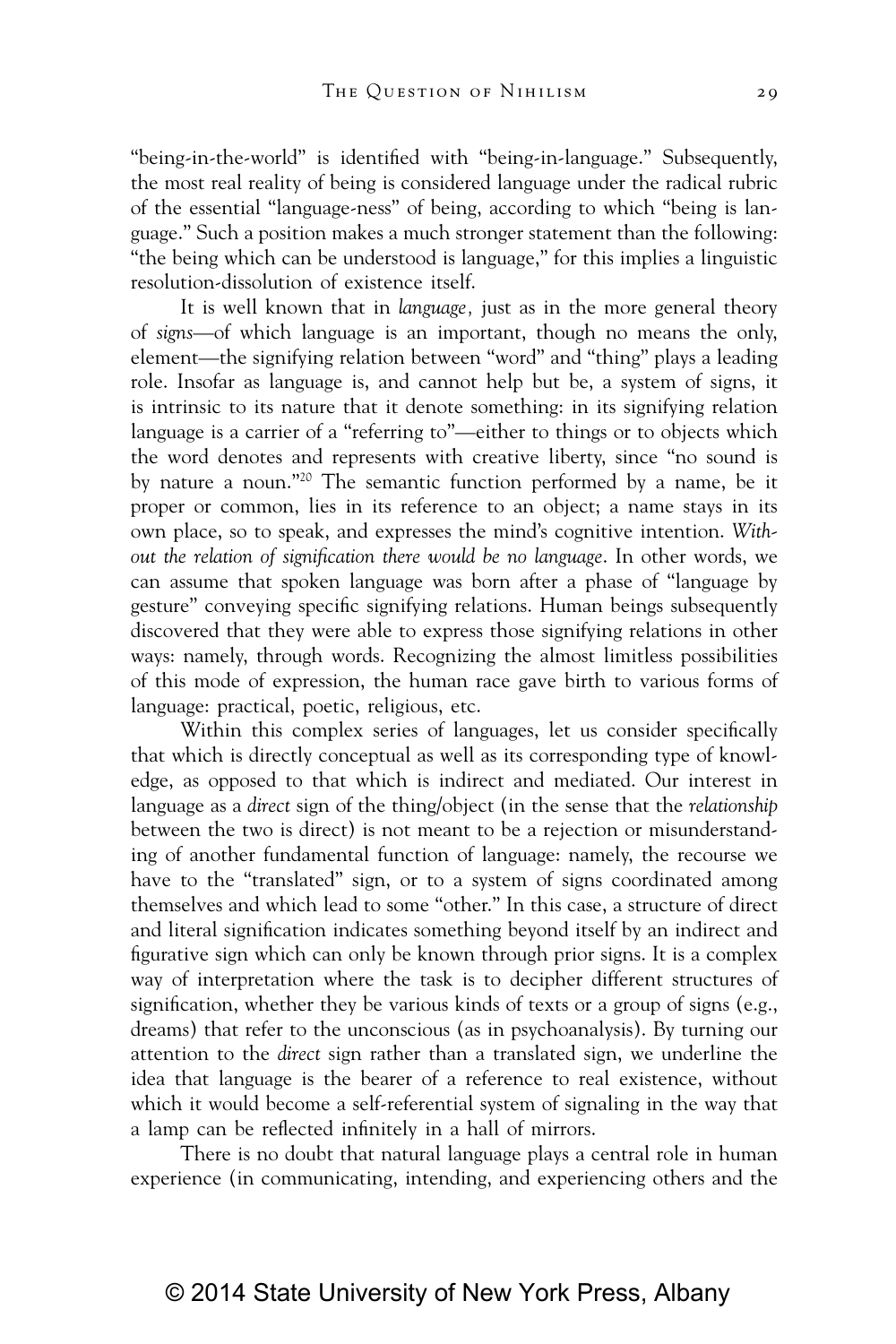"being‑in‑the‑world" is identified with "being‑in‑language." Subsequently, the most real reality of being is considered language under the radical rubric of the essential "language-ness" of being, according to which "being is language." Such a position makes a much stronger statement than the following: "the being which can be understood is language," for this implies a linguistic resolution‑dissolution of existence itself.

It is well known that in *language,* just as in the more general theory of *signs*—of which language is an important, though no means the only, element—the signifying relation between "word" and "thing" plays a leading role. Insofar as language is, and cannot help but be, a system of signs, it is intrinsic to its nature that it denote something: in its signifying relation language is a carrier of a "referring to"—either to things or to objects which the word denotes and represents with creative liberty, since "no sound is by nature a noun."20 The semantic function performed by a name, be it proper or common, lies in its reference to an object; a name stays in its own place, so to speak, and expresses the mind's cognitive intention. *With‑ out the relation of signification there would be no language*. In other words, we can assume that spoken language was born after a phase of "language by gesture" conveying specific signifying relations. Human beings subsequently discovered that they were able to express those signifying relations in other ways: namely, through words. Recognizing the almost limitless possibilities of this mode of expression, the human race gave birth to various forms of language: practical, poetic, religious, etc.

Within this complex series of languages, let us consider specifically that which is directly conceptual as well as its corresponding type of knowledge, as opposed to that which is indirect and mediated. Our interest in language as a *direct* sign of the thing/object (in the sense that the *relationship*  between the two is direct) is not meant to be a rejection or misunderstanding of another fundamental function of language: namely, the recourse we have to the "translated" sign, or to a system of signs coordinated among themselves and which lead to some "other." In this case, a structure of direct and literal signification indicates something beyond itself by an indirect and figurative sign which can only be known through prior signs. It is a complex way of interpretation where the task is to decipher different structures of signification, whether they be various kinds of texts or a group of signs (e.g., dreams) that refer to the unconscious (as in psychoanalysis). By turning our attention to the *direct* sign rather than a translated sign, we underline the idea that language is the bearer of a reference to real existence, without which it would become a self-referential system of signaling in the way that a lamp can be reflected infinitely in a hall of mirrors.

There is no doubt that natural language plays a central role in human experience (in communicating, intending, and experiencing others and the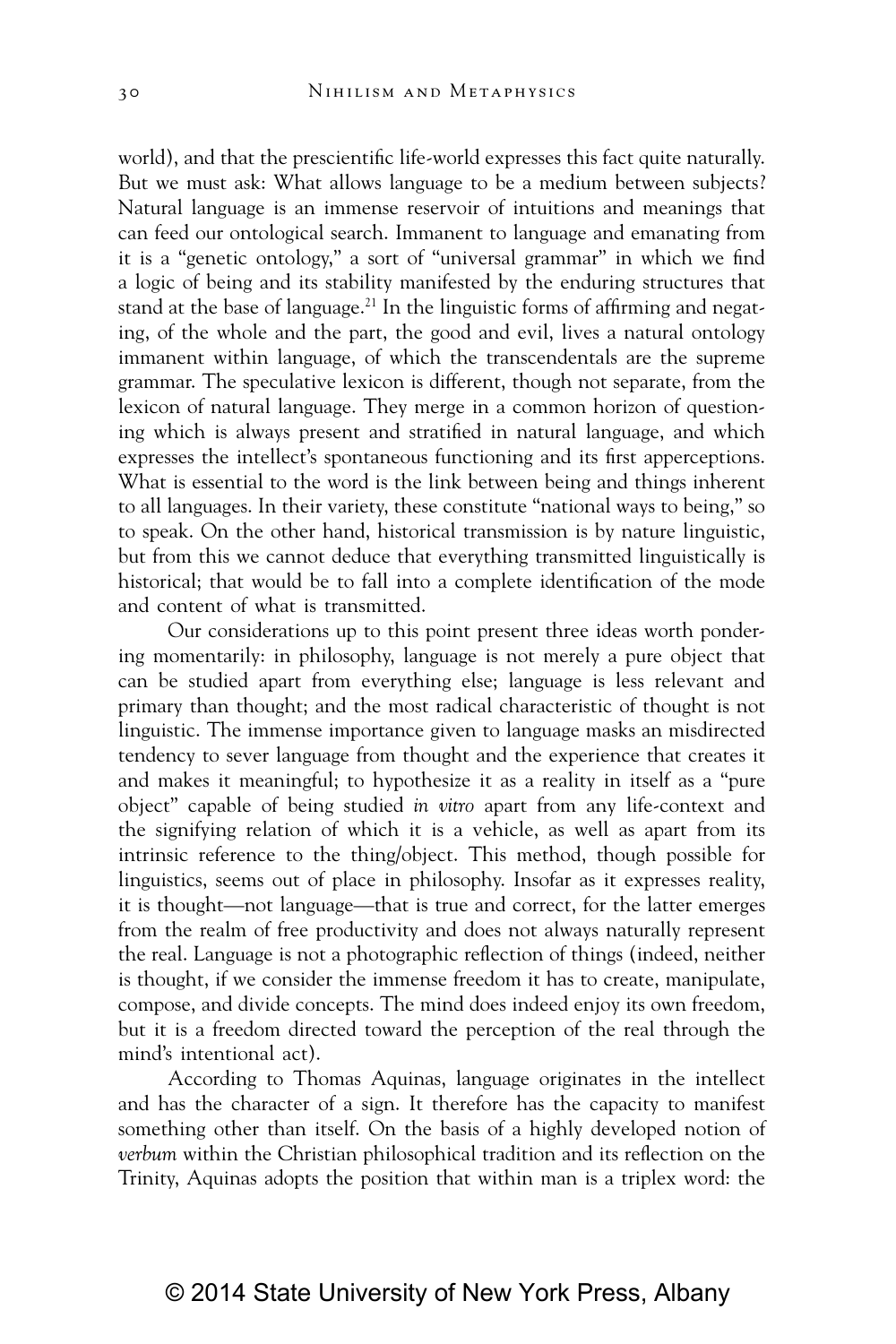world), and that the prescientific life-world expresses this fact quite naturally. But we must ask: What allows language to be a medium between subjects? Natural language is an immense reservoir of intuitions and meanings that can feed our ontological search. Immanent to language and emanating from it is a "genetic ontology," a sort of "universal grammar" in which we find a logic of being and its stability manifested by the enduring structures that stand at the base of language.<sup>21</sup> In the linguistic forms of affirming and negating, of the whole and the part, the good and evil, lives a natural ontology immanent within language, of which the transcendentals are the supreme grammar. The speculative lexicon is different, though not separate, from the lexicon of natural language. They merge in a common horizon of questioning which is always present and stratified in natural language, and which expresses the intellect's spontaneous functioning and its first apperceptions. What is essential to the word is the link between being and things inherent to all languages. In their variety, these constitute "national ways to being," so to speak. On the other hand, historical transmission is by nature linguistic, but from this we cannot deduce that everything transmitted linguistically is historical; that would be to fall into a complete identification of the mode and content of what is transmitted.

Our considerations up to this point present three ideas worth pondering momentarily: in philosophy, language is not merely a pure object that can be studied apart from everything else; language is less relevant and primary than thought; and the most radical characteristic of thought is not linguistic. The immense importance given to language masks an misdirected tendency to sever language from thought and the experience that creates it and makes it meaningful; to hypothesize it as a reality in itself as a "pure object" capable of being studied *in vitro* apart from any life‑context and the signifying relation of which it is a vehicle, as well as apart from its intrinsic reference to the thing/object. This method, though possible for linguistics, seems out of place in philosophy. Insofar as it expresses reality, it is thought—not language—that is true and correct, for the latter emerges from the realm of free productivity and does not always naturally represent the real. Language is not a photographic reflection of things (indeed, neither is thought, if we consider the immense freedom it has to create, manipulate, compose, and divide concepts. The mind does indeed enjoy its own freedom, but it is a freedom directed toward the perception of the real through the mind's intentional act).

According to Thomas Aquinas, language originates in the intellect and has the character of a sign. It therefore has the capacity to manifest something other than itself. On the basis of a highly developed notion of *verbum* within the Christian philosophical tradition and its reflection on the Trinity, Aquinas adopts the position that within man is a triplex word: the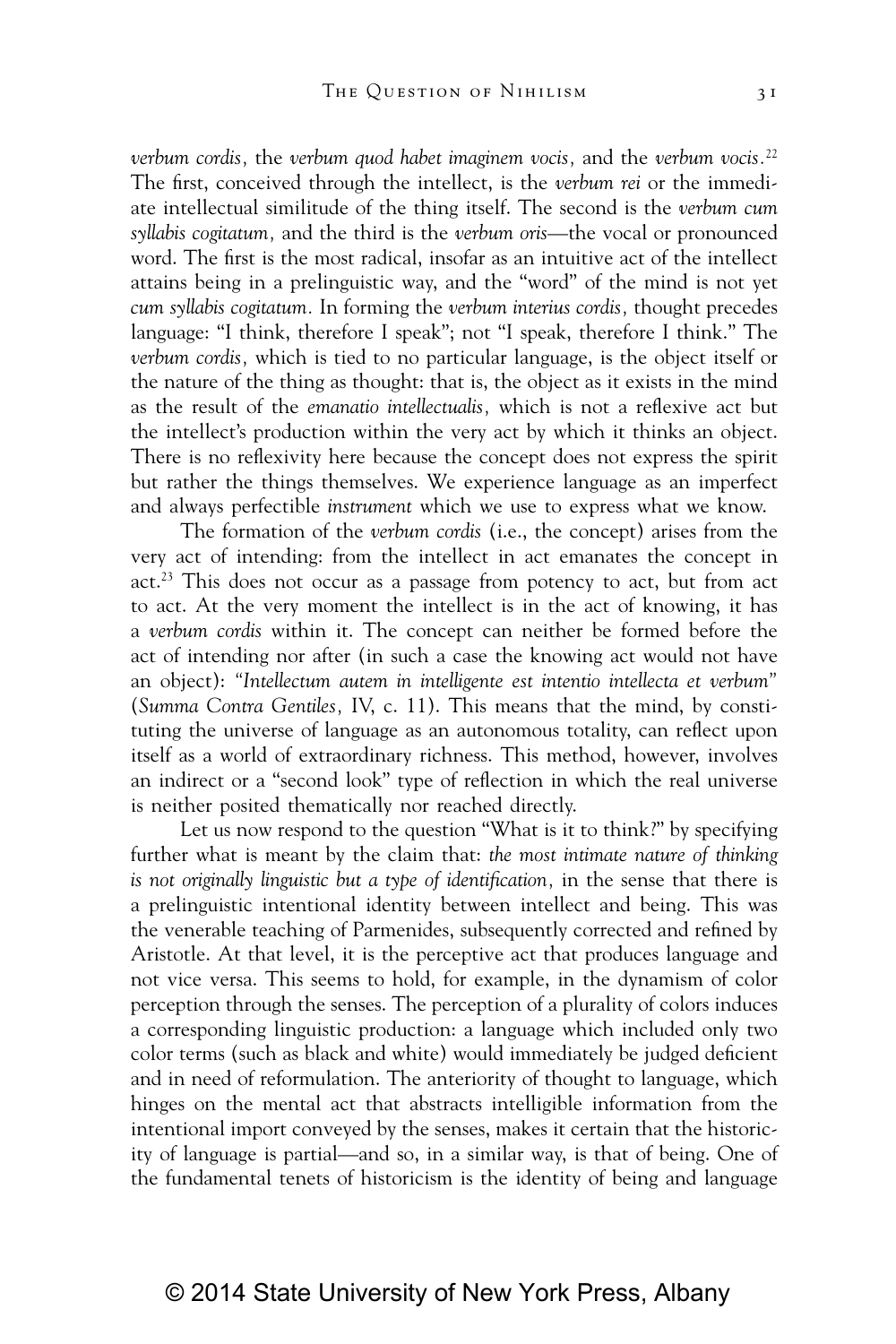*verbum cordis,* the *verbum quod habet imaginem vocis,* and the *verbum vocis.*<sup>22</sup> The first, conceived through the intellect, is the *verbum rei* or the immediate intellectual similitude of the thing itself. The second is the *verbum cum syllabis cogitatum,* and the third is the *verbum oris*—the vocal or pronounced word. The first is the most radical, insofar as an intuitive act of the intellect attains being in a prelinguistic way, and the "word" of the mind is not yet *cum syllabis cogitatum.* In forming the *verbum interius cordis,* thought precedes language: "I think, therefore I speak"; not "I speak, therefore I think." The *verbum cordis,* which is tied to no particular language, is the object itself or the nature of the thing as thought: that is, the object as it exists in the mind as the result of the *emanatio intellectualis,* which is not a reflexive act but the intellect's production within the very act by which it thinks an object. There is no reflexivity here because the concept does not express the spirit but rather the things themselves. We experience language as an imperfect and always perfectible *instrument* which we use to express what we know.

The formation of the *verbum cordis* (i.e., the concept) arises from the very act of intending: from the intellect in act emanates the concept in act.23 This does not occur as a passage from potency to act, but from act to act. At the very moment the intellect is in the act of knowing, it has a *verbum cordis* within it. The concept can neither be formed before the act of intending nor after (in such a case the knowing act would not have an object): *"Intellectum autem in intelligente est intentio intellecta et verbum"* (*Summa Contra Gentiles, IV, c. 11*). This means that the mind, by constituting the universe of language as an autonomous totality, can reflect upon itself as a world of extraordinary richness. This method, however, involves an indirect or a "second look" type of reflection in which the real universe is neither posited thematically nor reached directly.

Let us now respond to the question "What is it to think?" by specifying further what is meant by the claim that: *the most intimate nature of thinking is not originally linguistic but a type of identification,* in the sense that there is a prelinguistic intentional identity between intellect and being. This was the venerable teaching of Parmenides, subsequently corrected and refined by Aristotle. At that level, it is the perceptive act that produces language and not vice versa. This seems to hold, for example, in the dynamism of color perception through the senses. The perception of a plurality of colors induces a corresponding linguistic production: a language which included only two color terms (such as black and white) would immediately be judged deficient and in need of reformulation. The anteriority of thought to language, which hinges on the mental act that abstracts intelligible information from the intentional import conveyed by the senses, makes it certain that the historicity of language is partial—and so, in a similar way, is that of being. One of the fundamental tenets of historicism is the identity of being and language